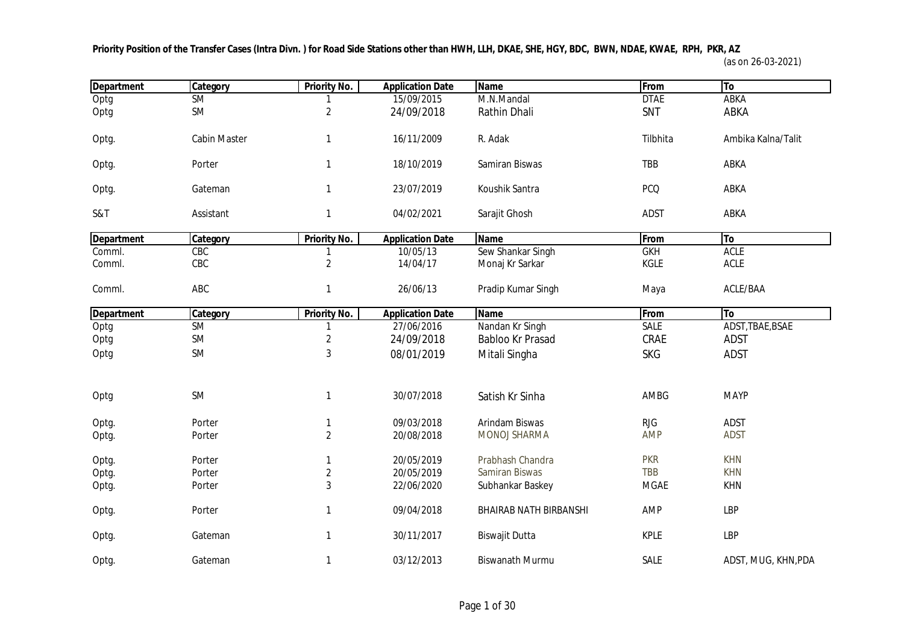**Priority Position of the Transfer Cases (Intra Divn. ) for Road Side Stations other than HWH, LLH, DKAE, SHE, HGY, BDC, BWN, NDAE, KWAE, RPH, PKR, AZ** 

(as on 26-03-2021)

| <b>Department</b> | Category            | <b>Priority No.</b>     | <b>Application Date</b> | <b>Name</b>                   | From        | To                  |
|-------------------|---------------------|-------------------------|-------------------------|-------------------------------|-------------|---------------------|
| Optg              | <b>SM</b>           |                         | 15/09/2015              | M.N.Mandal                    | <b>DTAE</b> | <b>ABKA</b>         |
| Optg              | <b>SM</b>           | 2                       | 24/09/2018              | Rathin Dhali                  | SNT         | ABKA                |
| Optg.             | <b>Cabin Master</b> | 1                       | 16/11/2009              | R. Adak                       | Tilbhita    | Ambika Kalna/Talit  |
| Optg.             | Porter              | 1                       | 18/10/2019              | Samiran Biswas                | TBB         | ABKA                |
| Optg.             | Gateman             | 1                       | 23/07/2019              | Koushik Santra                | <b>PCQ</b>  | ABKA                |
| S&T               | Assistant           | 1                       | 04/02/2021              | Sarajit Ghosh                 | <b>ADST</b> | ABKA                |
| <b>Department</b> | Category            | <b>Priority No.</b>     | <b>Application Date</b> | <b>Name</b>                   | From        | To                  |
| Comml.            | CEC                 |                         | 10/05/13                | Sew Shankar Singh             | GKH         | <b>ACLE</b>         |
| Comml.            | CBC                 | $\overline{\mathbf{c}}$ | 14/04/17                | Monaj Kr Sarkar               | <b>KGLE</b> | <b>ACLE</b>         |
| Comml.            | ABC                 | 1                       | 26/06/13                | Pradip Kumar Singh            | Maya        | ACLE/BAA            |
| <b>Department</b> | Category            | <b>Priority No.</b>     | <b>Application Date</b> | <b>Name</b>                   | From        | To                  |
| Optg              | <b>SM</b>           |                         | 27/06/2016              | Nandan Kr Singh               | SALE        | ADST, TBAE, BSAE    |
| Optg              | <b>SM</b>           | $\overline{2}$          | 24/09/2018              | Babloo Kr Prasad              | CRAE        | <b>ADST</b>         |
| Optg              | <b>SM</b>           | 3                       | 08/01/2019              | Mitali Singha                 | <b>SKG</b>  | <b>ADST</b>         |
| Optg              | <b>SM</b>           | 1                       | 30/07/2018              | Satish Kr Sinha               | AMBG        | <b>MAYP</b>         |
| Optg.             | Porter              | 1                       | 09/03/2018              | Arindam Biswas                | <b>RJG</b>  | <b>ADST</b>         |
| Optg.             | Porter              | $\overline{2}$          | 20/08/2018              | MONOJ SHARMA                  | <b>AMP</b>  | <b>ADST</b>         |
| Optg.             | Porter              | 1                       | 20/05/2019              | Prabhash Chandra              | <b>PKR</b>  | <b>KHN</b>          |
| Optg.             | Porter              | $\overline{2}$          | 20/05/2019              | Samiran Biswas                | <b>TBB</b>  | <b>KHN</b>          |
| Optg.             | Porter              | 3                       | 22/06/2020              | Subhankar Baskey              | <b>MGAE</b> | <b>KHN</b>          |
| Optg.             | Porter              | 1                       | 09/04/2018              | <b>BHAIRAB NATH BIRBANSHI</b> | AMP         | <b>LBP</b>          |
| Optg.             | Gateman             | 1                       | 30/11/2017              | <b>Biswajit Dutta</b>         | <b>KPLE</b> | <b>LBP</b>          |
| Optg.             | Gateman             | 1                       | 03/12/2013              | <b>Biswanath Murmu</b>        | SALE        | ADST, MUG, KHN, PDA |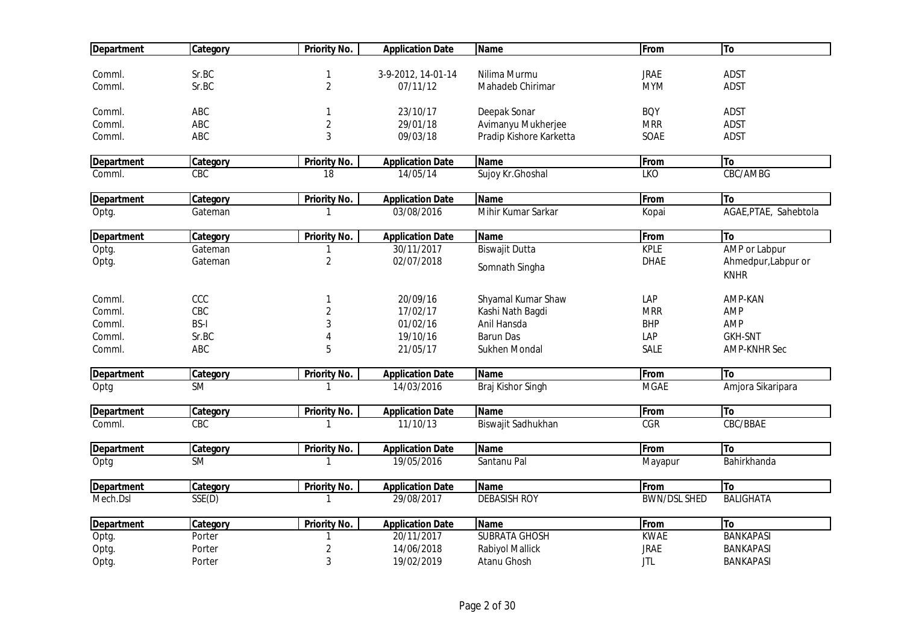| <b>Department</b> | Category        | <b>Priority No.</b> | <b>Application Date</b> | <b>Name</b>             | <b>From</b>             | To                    |
|-------------------|-----------------|---------------------|-------------------------|-------------------------|-------------------------|-----------------------|
|                   |                 |                     |                         |                         |                         |                       |
| Comml.            | Sr.BC           | $\mathbf{1}$        | 3-9-2012, 14-01-14      | Nilima Murmu            | <b>JRAE</b>             | <b>ADST</b>           |
| Comml.            | Sr.BC           | $\overline{2}$      | 07/11/12                | Mahadeb Chirimar        | <b>MYM</b>              | <b>ADST</b>           |
| Comml.            | ABC             | 1                   | 23/10/17                | Deepak Sonar            | <b>BQY</b>              | <b>ADST</b>           |
| Comml.            | ABC             | $\sqrt{2}$          | 29/01/18                | Avimanyu Mukherjee      | <b>MRR</b>              | <b>ADST</b>           |
| Comml.            | ABC             | 3                   | 09/03/18                | Pradip Kishore Karketta | SOAE                    | <b>ADST</b>           |
| <b>Department</b> | Category        | <b>Priority No.</b> | <b>Application Date</b> | <b>Name</b>             | From                    | To                    |
| Comml.            | CBC             | 18                  | 14/05/14                | Sujoy Kr.Ghoshal        | LKO                     | CBC/AMBG              |
| <b>Department</b> | <b>Category</b> | Priority No.        | <b>Application Date</b> | <b>Name</b>             | From                    | To                    |
| Optg.             | Gateman         |                     | 03/08/2016              | Mihir Kumar Sarkar      | Kopai                   | AGAE, PTAE, Sahebtola |
| <b>Department</b> | Category        | Priority No.        | <b>Application Date</b> | <b>Name</b>             | From                    | To                    |
| Optg.             | Gateman         | $\mathbf{1}$        | 30/11/2017              | <b>Biswajit Dutta</b>   | <b>KPLE</b>             | AMP or Labpur         |
| Optg.             | Gateman         | $\overline{2}$      | 02/07/2018              |                         | <b>DHAE</b>             | Ahmedpur, Labpur or   |
|                   |                 |                     |                         | Somnath Singha          |                         | <b>KNHR</b>           |
| Comml.            | CCC             | $\mathbf{1}$        | 20/09/16                | Shyamal Kumar Shaw      | LAP                     | AMP-KAN               |
| Comml.            | CBC             | $\overline{2}$      | 17/02/17                | Kashi Nath Bagdi        | <b>MRR</b>              | AMP                   |
| Comml.            | <b>BS-I</b>     | 3                   | 01/02/16                | Anil Hansda             | <b>BHP</b>              | AMP                   |
| Comml.            | Sr.BC           |                     | 19/10/16                | <b>Barun Das</b>        | LAP                     | <b>GKH-SNT</b>        |
| Comml.            | ABC             | 5                   | 21/05/17                | Sukhen Mondal           | SALE                    | <b>AMP-KNHR Sec</b>   |
| <b>Department</b> | Category        | <b>Priority No.</b> | <b>Application Date</b> | <b>Name</b>             | From                    | To                    |
| Optg              | <b>SM</b>       | -1                  | 14/03/2016              | Braj Kishor Singh       | <b>MGAE</b>             | Amjora Sikaripara     |
| <b>Department</b> | Category        | <b>Priority No.</b> | <b>Application Date</b> | <b>Name</b>             | From                    | To                    |
| Comml.            | CBC             | 1                   | 11/10/13                | Biswajit Sadhukhan      | $\overline{\text{CGR}}$ | CBC/BBAE              |
| <b>Department</b> | Category        | <b>Priority No.</b> | <b>Application Date</b> | <b>Name</b>             | From                    | To                    |
| Optg              | <b>SM</b>       | $\mathbf{1}$        | 19/05/2016              | Santanu Pal             | Mayapur                 | Bahirkhanda           |
| <b>Department</b> | Category        | <b>Priority No.</b> | <b>Application Date</b> | <b>Name</b>             | From                    | To                    |
| Mech.Dsl          | SSE(D)          | -1                  | 29/08/2017              | <b>DEBASISH ROY</b>     | <b>BWN/DSL SHED</b>     | <b>BALIGHATA</b>      |
| <b>Department</b> | Category        | <b>Priority No.</b> | <b>Application Date</b> | <b>Name</b>             | From                    | To                    |
| Optg.             | Porter          | 1                   | 20/11/2017              | <b>SUBRATA GHOSH</b>    | <b>KWAE</b>             | <b>BANKAPASI</b>      |
| Optg.             | Porter          | $\overline{c}$      | 14/06/2018              | Rabiyol Mallick         | <b>JRAE</b>             | <b>BANKAPASI</b>      |
| Optg.             | Porter          | 3                   | 19/02/2019              | Atanu Ghosh             | <b>JTL</b>              | <b>BANKAPASI</b>      |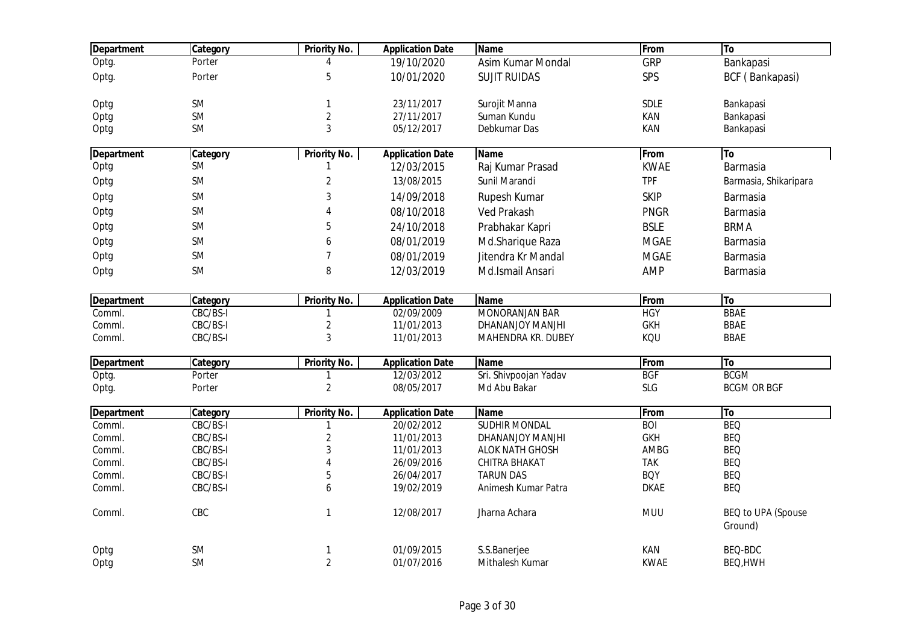| <b>Department</b> | Category  | <b>Priority No.</b> | <b>Application Date</b> | <b>Name</b>           | From        | To                            |
|-------------------|-----------|---------------------|-------------------------|-----------------------|-------------|-------------------------------|
| Optg.             | Porter    | Δ                   | 19/10/2020              | Asim Kumar Mondal     | GRP         | Bankapasi                     |
| Optg.             | Porter    | 5                   | 10/01/2020              | <b>SUJIT RUIDAS</b>   | SPS         | BCF (Bankapasi)               |
| Optg              | <b>SM</b> | 1                   | 23/11/2017              | Surojit Manna         | SDLE        | Bankapasi                     |
| Optg              | SM        | $\overline{2}$      | 27/11/2017              | Suman Kundu           | KAN         | Bankapasi                     |
| Optg              | <b>SM</b> | 3                   | 05/12/2017              | Debkumar Das          | <b>KAN</b>  | Bankapasi                     |
| <b>Department</b> | Category  | <b>Priority No.</b> | <b>Application Date</b> | <b>Name</b>           | From        | To                            |
| Optg              | <b>SM</b> | 1                   | 12/03/2015              | Raj Kumar Prasad      | <b>KWAE</b> | Barmasia                      |
| Optg              | <b>SM</b> | $\overline{c}$      | 13/08/2015              | Sunil Marandi         | <b>TPF</b>  | Barmasia, Shikaripara         |
| Optg              | <b>SM</b> | 3                   | 14/09/2018              | Rupesh Kumar          | <b>SKIP</b> | Barmasia                      |
| Optg              | <b>SM</b> | 4                   | 08/10/2018              | <b>Ved Prakash</b>    | <b>PNGR</b> | Barmasia                      |
| Optg              | <b>SM</b> | 5                   | 24/10/2018              | Prabhakar Kapri       | <b>BSLE</b> | <b>BRMA</b>                   |
| Optg              | <b>SM</b> | 6                   | 08/01/2019              | Md.Sharique Raza      | <b>MGAE</b> | Barmasia                      |
| Optg              | <b>SM</b> | $\overline{7}$      | 08/01/2019              | Jitendra Kr Mandal    | <b>MGAE</b> | Barmasia                      |
| Optg              | <b>SM</b> | 8                   | 12/03/2019              | Md.Ismail Ansari      | <b>AMP</b>  | Barmasia                      |
| <b>Department</b> | Category  | <b>Priority No.</b> | <b>Application Date</b> | <b>Name</b>           | From        | To                            |
| Comml.            | CBC/BS-I  | $\mathbf{1}$        | 02/09/2009              | MONORANJAN BAR        | <b>HGY</b>  | <b>BBAE</b>                   |
| Comml.            | CBC/BS-I  | $\overline{2}$      | 11/01/2013              | DHANANJOY MANJHI      | <b>GKH</b>  | <b>BBAE</b>                   |
| Comml.            | CBC/BS-I  | 3                   | 11/01/2013              | MAHENDRA KR. DUBEY    | KQU         | <b>BBAE</b>                   |
| <b>Department</b> | Category  | Priority No.        | <b>Application Date</b> | Name                  | From        | <b>To</b>                     |
| Optg.             | Porter    | 1                   | 12/03/2012              | Sri. Shivpoojan Yadav | <b>BGF</b>  | <b>BCGM</b>                   |
| Optg.             | Porter    | $\overline{2}$      | 08/05/2017              | Md Abu Bakar          | <b>SLG</b>  | <b>BCGM OR BGF</b>            |
| <b>Department</b> | Category  | <b>Priority No.</b> | <b>Application Date</b> | <b>Name</b>           | From        | To                            |
| Comml.            | CBC/BS-I  | 1                   | 20/02/2012              | <b>SUDHIR MONDAL</b>  | <b>BOI</b>  | <b>BEQ</b>                    |
| Comml.            | CBC/BS-I  | $\overline{2}$      | 11/01/2013              | DHANANJOY MANJHI      | <b>GKH</b>  | <b>BEQ</b>                    |
| Comml.            | CBC/BS-I  | 3                   | 11/01/2013              | ALOK NATH GHOSH       | AMBG        | <b>BEQ</b>                    |
| Comml.            | CBC/BS-I  | 4                   | 26/09/2016              | CHITRA BHAKAT         | <b>TAK</b>  | <b>BEQ</b>                    |
| Comml.            | CBC/BS-I  | 5                   | 26/04/2017              | <b>TARUN DAS</b>      | <b>BOY</b>  | <b>BEQ</b>                    |
| Comml.            | CBC/BS-I  | 6                   | 19/02/2019              | Animesh Kumar Patra   | <b>DKAE</b> | <b>BEQ</b>                    |
| Comml.            | CBC       | $\mathbf{1}$        | 12/08/2017              | Jharna Achara         | <b>MUU</b>  | BEQ to UPA (Spouse<br>Ground) |
| Optg              | SM        | 1                   | 01/09/2015              | S.S.Banerjee          | KAN         | BEQ-BDC                       |
| Optg              | <b>SM</b> | $\overline{2}$      | 01/07/2016              | Mithalesh Kumar       | <b>KWAE</b> | BEQ, HWH                      |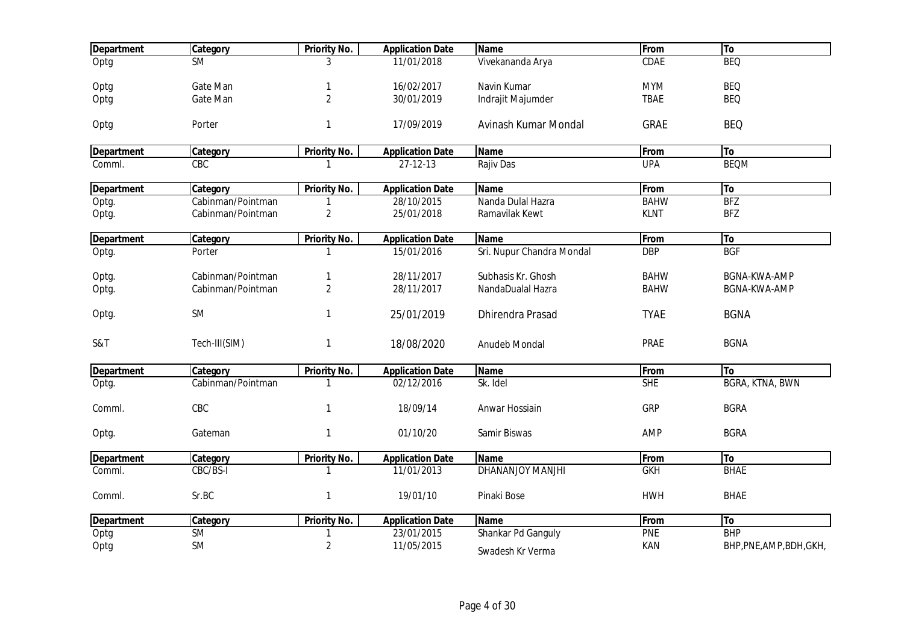| <b>Department</b> | Category          | Priority No.        | <b>Application Date</b> | <b>Name</b>               | From        | To                       |
|-------------------|-------------------|---------------------|-------------------------|---------------------------|-------------|--------------------------|
| Optg              | <b>SM</b>         | 3                   | 11/01/2018              | Vivekananda Arya          | CDAE        | <b>BEQ</b>               |
|                   | Gate Man          |                     | 16/02/2017              | Navin Kumar               | <b>MYM</b>  | <b>BEQ</b>               |
| Optg              |                   | 1                   |                         |                           |             |                          |
| Optg              | Gate Man          | $\overline{2}$      | 30/01/2019              | Indrajit Majumder         | <b>TBAE</b> | <b>BEQ</b>               |
| Optg              | Porter            | 1                   | 17/09/2019              | Avinash Kumar Mondal      | <b>GRAE</b> | <b>BEQ</b>               |
| <b>Department</b> | Category          | <b>Priority No.</b> | <b>Application Date</b> | <b>Name</b>               | From        | To                       |
| Comml.            | CBC               |                     | $27 - 12 - 13$          | Rajiv Das                 | <b>UPA</b>  | <b>BEQM</b>              |
| <b>Department</b> | Category          | Priority No.        | <b>Application Date</b> | <b>Name</b>               | From        | To                       |
| Optg.             | Cabinman/Pointman |                     | 28/10/2015              | Nanda Dulal Hazra         | <b>BAHW</b> | BFZ                      |
| Optg.             | Cabinman/Pointman | $\overline{2}$      | 25/01/2018              | Ramavilak Kewt            | <b>KLNT</b> | <b>BFZ</b>               |
|                   |                   |                     |                         |                           |             |                          |
| <b>Department</b> | Category          | <b>Priority No.</b> | <b>Application Date</b> | <b>Name</b>               | From        | To                       |
| Optg.             | Porter            |                     | 15/01/2016              | Sri. Nupur Chandra Mondal | <b>DBP</b>  | <b>BGF</b>               |
| Optg.             | Cabinman/Pointman | 1                   | 28/11/2017              | Subhasis Kr. Ghosh        | <b>BAHW</b> | <b>BGNA-KWA-AMP</b>      |
| Optg.             | Cabinman/Pointman | $\overline{2}$      | 28/11/2017              | NandaDualal Hazra         | <b>BAHW</b> | BGNA-KWA-AMP             |
| Optg.             | SM                | 1                   | 25/01/2019              | <b>Dhirendra Prasad</b>   | <b>TYAE</b> | <b>BGNA</b>              |
|                   |                   |                     |                         |                           |             |                          |
| S&T               | Tech-III(SIM)     | 1                   | 18/08/2020              | Anudeb Mondal             | PRAE        | <b>BGNA</b>              |
|                   |                   |                     |                         |                           |             |                          |
| <b>Department</b> | Category          | <b>Priority No.</b> | <b>Application Date</b> | <b>Name</b>               | From        | <b>To</b>                |
| Optg.             | Cabinman/Pointman | 1                   | 02/12/2016              | Sk. Idel                  | SHE         | <b>BGRA, KTNA, BWN</b>   |
| Comml.            | CBC               | 1                   | 18/09/14                | Anwar Hossiain            | GRP         | <b>BGRA</b>              |
| Optg.             | Gateman           | $\mathbf{1}$        | 01/10/20                | Samir Biswas              | AMP         | <b>BGRA</b>              |
|                   |                   |                     |                         |                           |             |                          |
| <b>Department</b> | Category          | Priority No.        | <b>Application Date</b> | <b>Name</b>               | From        | <b>To</b>                |
| Comml.            | CBC/BS-I          | 1                   | 11/01/2013              | DHANANJOY MANJHI          | <b>GKH</b>  | <b>BHAE</b>              |
| Comml.            | Sr.BC             | $\mathbf{1}$        | 19/01/10                | Pinaki Bose               | <b>HWH</b>  | <b>BHAE</b>              |
| <b>Department</b> | Category          | Priority No.        | <b>Application Date</b> | <b>Name</b>               | From        | <b>To</b>                |
| Optg              | SM                | 1                   | 23/01/2015              | Shankar Pd Ganguly        | PNE         | <b>BHP</b>               |
| Optg              | SM                | $\overline{c}$      | 11/05/2015              |                           | KAN         | BHP, PNE, AMP, BDH, GKH, |
|                   |                   |                     |                         | Swadesh Kr Verma          |             |                          |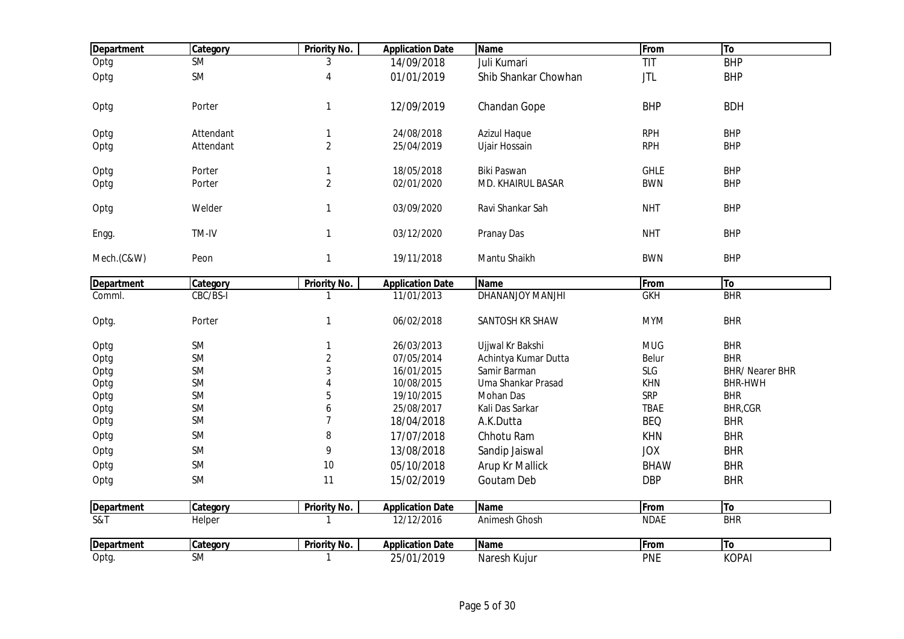| Optg<br><b>SM</b><br><b>BHP</b><br>Juli Kumari<br>TIT<br>3<br>14/09/2018<br>SM<br>Optg<br>01/01/2019<br><b>JTL</b><br>4<br>Shib Shankar Chowhan<br><b>BHP</b><br>Porter<br>$\mathbf{1}$<br>12/09/2019<br>Chandan Gope<br><b>BHP</b><br><b>BDH</b><br>Optg<br><b>RPH</b><br><b>BHP</b><br>Attendant<br>$\mathbf{1}$<br>24/08/2018<br><b>Azizul Haque</b><br>Optg<br>$\overline{2}$<br><b>RPH</b><br><b>BHP</b><br>Attendant<br>25/04/2019<br>Ujair Hossain<br>Optg<br><b>GHLE</b><br><b>BHP</b><br>Porter<br>18/05/2018<br>Biki Paswan<br>Optg<br>$\mathbf{1}$<br>$\overline{2}$<br>02/01/2020<br>MD. KHAIRUL BASAR<br><b>BWN</b><br><b>BHP</b><br>Porter<br>Optg<br>$\mathbf{1}$<br>03/09/2020<br><b>NHT</b><br><b>BHP</b><br>Welder<br>Ravi Shankar Sah<br>Optg<br>TM-IV<br>$\mathbf{1}$<br><b>NHT</b><br><b>BHP</b><br>03/12/2020<br>Pranay Das<br>Engg.<br>$\mathbf{1}$<br><b>BWN</b><br><b>BHP</b><br>Mech.(C&W)<br>19/11/2018<br>Mantu Shaikh<br>Peon<br>Priority No.<br>Name<br>From<br> To<br><b>Department</b><br>Category<br><b>Application Date</b><br>CBC/BS-I<br>DHANANJOY MANJHI<br>BHR<br>11/01/2013<br><b>GKH</b><br>Comml.<br>$\mathbf{1}$<br>06/02/2018<br>SANTOSH KR SHAW<br><b>MYM</b><br><b>BHR</b><br>Porter<br>$\mathbf{1}$<br>Optg.<br>SM<br><b>BHR</b><br>26/03/2013<br>Ujjwal Kr Bakshi<br><b>MUG</b><br>Optg<br>$\mathbf{1}$<br>SM<br>$\overline{2}$<br>07/05/2014<br><b>BHR</b><br>Achintya Kumar Dutta<br>Belur<br>Optg<br>3<br>SLG<br><b>BHR/ Nearer BHR</b><br><b>SM</b><br>16/01/2015<br>Samir Barman<br>Optg<br>SM<br>10/08/2015<br>Uma Shankar Prasad<br><b>KHN</b><br><b>BHR-HWH</b><br>Optg<br>$\Delta$<br>SM<br>5<br><b>SRP</b><br><b>BHR</b><br>Optg<br>19/10/2015<br>Mohan Das<br>SM<br>BHR,CGR<br>Optg<br>6<br>25/08/2017<br>Kali Das Sarkar<br><b>TBAE</b><br>$\overline{7}$<br><b>BHR</b><br>SM<br><b>BEQ</b><br>Optg<br>18/04/2018<br>A.K.Dutta<br>SM<br>8<br><b>BHR</b><br>Optg<br>17/07/2018<br>Chhotu Ram<br><b>KHN</b><br>SM<br>9<br><b>BHR</b><br>13/08/2018<br><b>JOX</b><br>Optg<br>Sandip Jaiswal<br><b>SM</b><br>10<br>Optg<br>05/10/2018<br>Arup Kr Mallick<br><b>BHR</b><br><b>BHAW</b><br><b>SM</b><br>11<br><b>BHR</b><br>15/02/2019<br>Goutam Deb<br><b>DBP</b><br>Optg<br>Priority No.<br>Name<br>From<br> To<br>Category<br><b>Application Date</b><br><b>Department</b><br>$\overline{\text{S&ampT}}$<br>BHR<br>12/12/2016<br><b>NDAE</b><br>Helper<br>$\mathbf{1}$<br>Animesh Ghosh<br><b>Priority No.</b><br><b>Department</b><br>Category<br><b>Application Date</b><br><b>Name</b><br>From<br> To<br><b>KOPAI</b><br><b>SM</b><br>25/01/2019<br><b>PNE</b><br>Optg.<br>Naresh Kujur<br>$\mathbf{1}$ | <b>Department</b> | Category | <b>Priority No.</b> | <b>Application Date</b> | <b>Name</b> | From | To |
|--------------------------------------------------------------------------------------------------------------------------------------------------------------------------------------------------------------------------------------------------------------------------------------------------------------------------------------------------------------------------------------------------------------------------------------------------------------------------------------------------------------------------------------------------------------------------------------------------------------------------------------------------------------------------------------------------------------------------------------------------------------------------------------------------------------------------------------------------------------------------------------------------------------------------------------------------------------------------------------------------------------------------------------------------------------------------------------------------------------------------------------------------------------------------------------------------------------------------------------------------------------------------------------------------------------------------------------------------------------------------------------------------------------------------------------------------------------------------------------------------------------------------------------------------------------------------------------------------------------------------------------------------------------------------------------------------------------------------------------------------------------------------------------------------------------------------------------------------------------------------------------------------------------------------------------------------------------------------------------------------------------------------------------------------------------------------------------------------------------------------------------------------------------------------------------------------------------------------------------------------------------------------------------------------------------------------------------------------------------------------------------------------------------------------------------------------------------------------------------------------------------------------------------------------------------------------------------------------------------------------------------------------------------------|-------------------|----------|---------------------|-------------------------|-------------|------|----|
|                                                                                                                                                                                                                                                                                                                                                                                                                                                                                                                                                                                                                                                                                                                                                                                                                                                                                                                                                                                                                                                                                                                                                                                                                                                                                                                                                                                                                                                                                                                                                                                                                                                                                                                                                                                                                                                                                                                                                                                                                                                                                                                                                                                                                                                                                                                                                                                                                                                                                                                                                                                                                                                                    |                   |          |                     |                         |             |      |    |
|                                                                                                                                                                                                                                                                                                                                                                                                                                                                                                                                                                                                                                                                                                                                                                                                                                                                                                                                                                                                                                                                                                                                                                                                                                                                                                                                                                                                                                                                                                                                                                                                                                                                                                                                                                                                                                                                                                                                                                                                                                                                                                                                                                                                                                                                                                                                                                                                                                                                                                                                                                                                                                                                    |                   |          |                     |                         |             |      |    |
|                                                                                                                                                                                                                                                                                                                                                                                                                                                                                                                                                                                                                                                                                                                                                                                                                                                                                                                                                                                                                                                                                                                                                                                                                                                                                                                                                                                                                                                                                                                                                                                                                                                                                                                                                                                                                                                                                                                                                                                                                                                                                                                                                                                                                                                                                                                                                                                                                                                                                                                                                                                                                                                                    |                   |          |                     |                         |             |      |    |
|                                                                                                                                                                                                                                                                                                                                                                                                                                                                                                                                                                                                                                                                                                                                                                                                                                                                                                                                                                                                                                                                                                                                                                                                                                                                                                                                                                                                                                                                                                                                                                                                                                                                                                                                                                                                                                                                                                                                                                                                                                                                                                                                                                                                                                                                                                                                                                                                                                                                                                                                                                                                                                                                    |                   |          |                     |                         |             |      |    |
|                                                                                                                                                                                                                                                                                                                                                                                                                                                                                                                                                                                                                                                                                                                                                                                                                                                                                                                                                                                                                                                                                                                                                                                                                                                                                                                                                                                                                                                                                                                                                                                                                                                                                                                                                                                                                                                                                                                                                                                                                                                                                                                                                                                                                                                                                                                                                                                                                                                                                                                                                                                                                                                                    |                   |          |                     |                         |             |      |    |
|                                                                                                                                                                                                                                                                                                                                                                                                                                                                                                                                                                                                                                                                                                                                                                                                                                                                                                                                                                                                                                                                                                                                                                                                                                                                                                                                                                                                                                                                                                                                                                                                                                                                                                                                                                                                                                                                                                                                                                                                                                                                                                                                                                                                                                                                                                                                                                                                                                                                                                                                                                                                                                                                    |                   |          |                     |                         |             |      |    |
|                                                                                                                                                                                                                                                                                                                                                                                                                                                                                                                                                                                                                                                                                                                                                                                                                                                                                                                                                                                                                                                                                                                                                                                                                                                                                                                                                                                                                                                                                                                                                                                                                                                                                                                                                                                                                                                                                                                                                                                                                                                                                                                                                                                                                                                                                                                                                                                                                                                                                                                                                                                                                                                                    |                   |          |                     |                         |             |      |    |
|                                                                                                                                                                                                                                                                                                                                                                                                                                                                                                                                                                                                                                                                                                                                                                                                                                                                                                                                                                                                                                                                                                                                                                                                                                                                                                                                                                                                                                                                                                                                                                                                                                                                                                                                                                                                                                                                                                                                                                                                                                                                                                                                                                                                                                                                                                                                                                                                                                                                                                                                                                                                                                                                    |                   |          |                     |                         |             |      |    |
|                                                                                                                                                                                                                                                                                                                                                                                                                                                                                                                                                                                                                                                                                                                                                                                                                                                                                                                                                                                                                                                                                                                                                                                                                                                                                                                                                                                                                                                                                                                                                                                                                                                                                                                                                                                                                                                                                                                                                                                                                                                                                                                                                                                                                                                                                                                                                                                                                                                                                                                                                                                                                                                                    |                   |          |                     |                         |             |      |    |
|                                                                                                                                                                                                                                                                                                                                                                                                                                                                                                                                                                                                                                                                                                                                                                                                                                                                                                                                                                                                                                                                                                                                                                                                                                                                                                                                                                                                                                                                                                                                                                                                                                                                                                                                                                                                                                                                                                                                                                                                                                                                                                                                                                                                                                                                                                                                                                                                                                                                                                                                                                                                                                                                    |                   |          |                     |                         |             |      |    |
|                                                                                                                                                                                                                                                                                                                                                                                                                                                                                                                                                                                                                                                                                                                                                                                                                                                                                                                                                                                                                                                                                                                                                                                                                                                                                                                                                                                                                                                                                                                                                                                                                                                                                                                                                                                                                                                                                                                                                                                                                                                                                                                                                                                                                                                                                                                                                                                                                                                                                                                                                                                                                                                                    |                   |          |                     |                         |             |      |    |
|                                                                                                                                                                                                                                                                                                                                                                                                                                                                                                                                                                                                                                                                                                                                                                                                                                                                                                                                                                                                                                                                                                                                                                                                                                                                                                                                                                                                                                                                                                                                                                                                                                                                                                                                                                                                                                                                                                                                                                                                                                                                                                                                                                                                                                                                                                                                                                                                                                                                                                                                                                                                                                                                    |                   |          |                     |                         |             |      |    |
|                                                                                                                                                                                                                                                                                                                                                                                                                                                                                                                                                                                                                                                                                                                                                                                                                                                                                                                                                                                                                                                                                                                                                                                                                                                                                                                                                                                                                                                                                                                                                                                                                                                                                                                                                                                                                                                                                                                                                                                                                                                                                                                                                                                                                                                                                                                                                                                                                                                                                                                                                                                                                                                                    |                   |          |                     |                         |             |      |    |
|                                                                                                                                                                                                                                                                                                                                                                                                                                                                                                                                                                                                                                                                                                                                                                                                                                                                                                                                                                                                                                                                                                                                                                                                                                                                                                                                                                                                                                                                                                                                                                                                                                                                                                                                                                                                                                                                                                                                                                                                                                                                                                                                                                                                                                                                                                                                                                                                                                                                                                                                                                                                                                                                    |                   |          |                     |                         |             |      |    |
|                                                                                                                                                                                                                                                                                                                                                                                                                                                                                                                                                                                                                                                                                                                                                                                                                                                                                                                                                                                                                                                                                                                                                                                                                                                                                                                                                                                                                                                                                                                                                                                                                                                                                                                                                                                                                                                                                                                                                                                                                                                                                                                                                                                                                                                                                                                                                                                                                                                                                                                                                                                                                                                                    |                   |          |                     |                         |             |      |    |
|                                                                                                                                                                                                                                                                                                                                                                                                                                                                                                                                                                                                                                                                                                                                                                                                                                                                                                                                                                                                                                                                                                                                                                                                                                                                                                                                                                                                                                                                                                                                                                                                                                                                                                                                                                                                                                                                                                                                                                                                                                                                                                                                                                                                                                                                                                                                                                                                                                                                                                                                                                                                                                                                    |                   |          |                     |                         |             |      |    |
|                                                                                                                                                                                                                                                                                                                                                                                                                                                                                                                                                                                                                                                                                                                                                                                                                                                                                                                                                                                                                                                                                                                                                                                                                                                                                                                                                                                                                                                                                                                                                                                                                                                                                                                                                                                                                                                                                                                                                                                                                                                                                                                                                                                                                                                                                                                                                                                                                                                                                                                                                                                                                                                                    |                   |          |                     |                         |             |      |    |
|                                                                                                                                                                                                                                                                                                                                                                                                                                                                                                                                                                                                                                                                                                                                                                                                                                                                                                                                                                                                                                                                                                                                                                                                                                                                                                                                                                                                                                                                                                                                                                                                                                                                                                                                                                                                                                                                                                                                                                                                                                                                                                                                                                                                                                                                                                                                                                                                                                                                                                                                                                                                                                                                    |                   |          |                     |                         |             |      |    |
|                                                                                                                                                                                                                                                                                                                                                                                                                                                                                                                                                                                                                                                                                                                                                                                                                                                                                                                                                                                                                                                                                                                                                                                                                                                                                                                                                                                                                                                                                                                                                                                                                                                                                                                                                                                                                                                                                                                                                                                                                                                                                                                                                                                                                                                                                                                                                                                                                                                                                                                                                                                                                                                                    |                   |          |                     |                         |             |      |    |
|                                                                                                                                                                                                                                                                                                                                                                                                                                                                                                                                                                                                                                                                                                                                                                                                                                                                                                                                                                                                                                                                                                                                                                                                                                                                                                                                                                                                                                                                                                                                                                                                                                                                                                                                                                                                                                                                                                                                                                                                                                                                                                                                                                                                                                                                                                                                                                                                                                                                                                                                                                                                                                                                    |                   |          |                     |                         |             |      |    |
|                                                                                                                                                                                                                                                                                                                                                                                                                                                                                                                                                                                                                                                                                                                                                                                                                                                                                                                                                                                                                                                                                                                                                                                                                                                                                                                                                                                                                                                                                                                                                                                                                                                                                                                                                                                                                                                                                                                                                                                                                                                                                                                                                                                                                                                                                                                                                                                                                                                                                                                                                                                                                                                                    |                   |          |                     |                         |             |      |    |
|                                                                                                                                                                                                                                                                                                                                                                                                                                                                                                                                                                                                                                                                                                                                                                                                                                                                                                                                                                                                                                                                                                                                                                                                                                                                                                                                                                                                                                                                                                                                                                                                                                                                                                                                                                                                                                                                                                                                                                                                                                                                                                                                                                                                                                                                                                                                                                                                                                                                                                                                                                                                                                                                    |                   |          |                     |                         |             |      |    |
|                                                                                                                                                                                                                                                                                                                                                                                                                                                                                                                                                                                                                                                                                                                                                                                                                                                                                                                                                                                                                                                                                                                                                                                                                                                                                                                                                                                                                                                                                                                                                                                                                                                                                                                                                                                                                                                                                                                                                                                                                                                                                                                                                                                                                                                                                                                                                                                                                                                                                                                                                                                                                                                                    |                   |          |                     |                         |             |      |    |
|                                                                                                                                                                                                                                                                                                                                                                                                                                                                                                                                                                                                                                                                                                                                                                                                                                                                                                                                                                                                                                                                                                                                                                                                                                                                                                                                                                                                                                                                                                                                                                                                                                                                                                                                                                                                                                                                                                                                                                                                                                                                                                                                                                                                                                                                                                                                                                                                                                                                                                                                                                                                                                                                    |                   |          |                     |                         |             |      |    |
|                                                                                                                                                                                                                                                                                                                                                                                                                                                                                                                                                                                                                                                                                                                                                                                                                                                                                                                                                                                                                                                                                                                                                                                                                                                                                                                                                                                                                                                                                                                                                                                                                                                                                                                                                                                                                                                                                                                                                                                                                                                                                                                                                                                                                                                                                                                                                                                                                                                                                                                                                                                                                                                                    |                   |          |                     |                         |             |      |    |
|                                                                                                                                                                                                                                                                                                                                                                                                                                                                                                                                                                                                                                                                                                                                                                                                                                                                                                                                                                                                                                                                                                                                                                                                                                                                                                                                                                                                                                                                                                                                                                                                                                                                                                                                                                                                                                                                                                                                                                                                                                                                                                                                                                                                                                                                                                                                                                                                                                                                                                                                                                                                                                                                    |                   |          |                     |                         |             |      |    |
|                                                                                                                                                                                                                                                                                                                                                                                                                                                                                                                                                                                                                                                                                                                                                                                                                                                                                                                                                                                                                                                                                                                                                                                                                                                                                                                                                                                                                                                                                                                                                                                                                                                                                                                                                                                                                                                                                                                                                                                                                                                                                                                                                                                                                                                                                                                                                                                                                                                                                                                                                                                                                                                                    |                   |          |                     |                         |             |      |    |
|                                                                                                                                                                                                                                                                                                                                                                                                                                                                                                                                                                                                                                                                                                                                                                                                                                                                                                                                                                                                                                                                                                                                                                                                                                                                                                                                                                                                                                                                                                                                                                                                                                                                                                                                                                                                                                                                                                                                                                                                                                                                                                                                                                                                                                                                                                                                                                                                                                                                                                                                                                                                                                                                    |                   |          |                     |                         |             |      |    |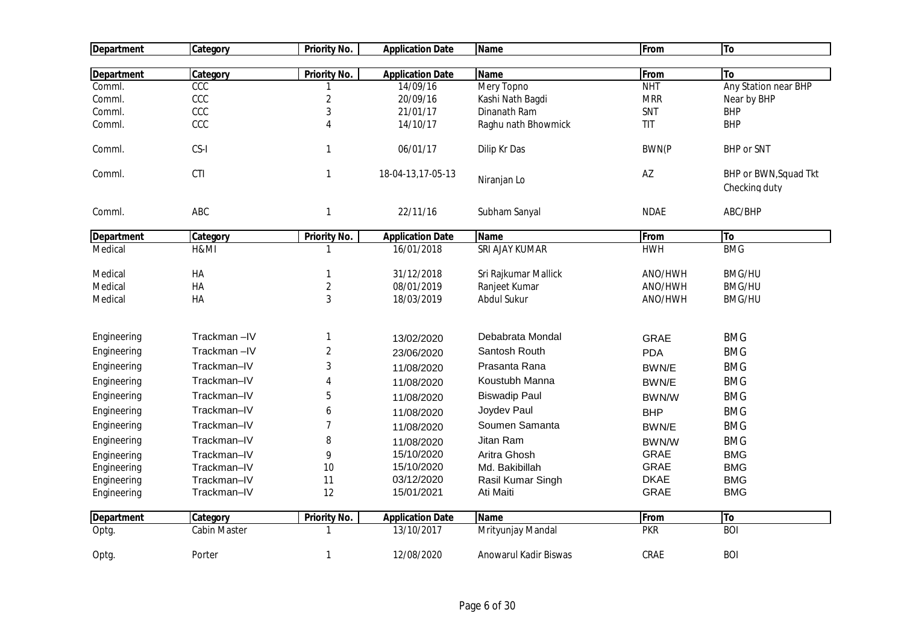| <b>Department</b> | Category     | Priority No.        | <b>Application Date</b> | <b>Name</b>           | From         | To                                     |
|-------------------|--------------|---------------------|-------------------------|-----------------------|--------------|----------------------------------------|
|                   |              |                     |                         |                       |              |                                        |
| <b>Department</b> | Category     | Priority No.        | <b>Application Date</b> | <b>Name</b>           | From         | <b>To</b>                              |
| Comml.            | CCC          |                     | 14/09/16                | Mery Topno            | <b>NHT</b>   | Any Station near BHP                   |
| Comml.            | CCC          | $\overline{c}$      | 20/09/16                | Kashi Nath Bagdi      | <b>MRR</b>   | Near by BHP                            |
| Comml.            | CCC          | $\sqrt{3}$          | 21/01/17                | Dinanath Ram          | SNT          | <b>BHP</b>                             |
| Comml.            | CCC          | 4                   | 14/10/17                | Raghu nath Bhowmick   | TIT          | <b>BHP</b>                             |
| Comml.            | CS-I         | $\mathbf{1}$        | 06/01/17                | Dilip Kr Das          | <b>BWN(P</b> | <b>BHP or SNT</b>                      |
| Comml.            | <b>CTI</b>   | $\mathbf{1}$        | 18-04-13,17-05-13       | Niranjan Lo           | AZ           | BHP or BWN, Squad Tkt<br>Checking duty |
| Comml.            | ABC          | $\mathbf{1}$        | 22/11/16                | Subham Sanyal         | <b>NDAE</b>  | ABC/BHP                                |
| <b>Department</b> | Category     | <b>Priority No.</b> | <b>Application Date</b> | <b>Name</b>           | From         | To                                     |
| Medical           | H&MI         | -1                  | 16/01/2018              | SRI AJAY KUMAR        | <b>HWH</b>   | <b>BMG</b>                             |
| Medical           | HA           | $\mathbf{1}$        | 31/12/2018              | Sri Rajkumar Mallick  | ANO/HWH      | <b>BMG/HU</b>                          |
| Medical           | HA           | $\overline{2}$      | 08/01/2019              | Ranjeet Kumar         | ANO/HWH      | <b>BMG/HU</b>                          |
| Medical           | HA           | 3                   | 18/03/2019              | <b>Abdul Sukur</b>    | ANO/HWH      | <b>BMG/HU</b>                          |
| Engineering       | Trackman-IV  | 1                   | 13/02/2020              | Debabrata Mondal      | <b>GRAE</b>  | <b>BMG</b>                             |
| Engineering       | Trackman-IV  | $\overline{2}$      | 23/06/2020              | Santosh Routh         | <b>PDA</b>   | <b>BMG</b>                             |
| Engineering       | Trackman-IV  | 3                   | 11/08/2020              | Prasanta Rana         | BWN/E        | <b>BMG</b>                             |
| Engineering       | Trackman-IV  | 4                   | 11/08/2020              | Koustubh Manna        | BWN/E        | <b>BMG</b>                             |
| Engineering       | Trackman-IV  | 5                   | 11/08/2020              | <b>Biswadip Paul</b>  | BWN/W        | <b>BMG</b>                             |
| Engineering       | Trackman-IV  | 6                   | 11/08/2020              | Joydev Paul           | <b>BHP</b>   | <b>BMG</b>                             |
| Engineering       | Trackman-IV  | 7                   | 11/08/2020              | Soumen Samanta        | BWN/E        | <b>BMG</b>                             |
| Engineering       | Trackman-IV  | 8                   | 11/08/2020              | Jitan Ram             | BWN/W        | <b>BMG</b>                             |
| Engineering       | Trackman-IV  | 9                   | 15/10/2020              | Aritra Ghosh          | <b>GRAE</b>  | <b>BMG</b>                             |
| Engineering       | Trackman-IV  | 10                  | 15/10/2020              | Md. Bakibillah        | <b>GRAE</b>  | <b>BMG</b>                             |
| Engineering       | Trackman-IV  | 11                  | 03/12/2020              | Rasil Kumar Singh     | <b>DKAE</b>  | <b>BMG</b>                             |
| Engineering       | Trackman-IV  | 12                  | 15/01/2021              | Ati Maiti             | GRAE         | <b>BMG</b>                             |
| <b>Department</b> | Category     | <b>Priority No.</b> | <b>Application Date</b> | <b>Name</b>           | From         | To                                     |
| Optg.             | Cabin Master | -1                  | 13/10/2017              | Mrityunjay Mandal     | <b>PKR</b>   | <b>BOI</b>                             |
| Optg.             | Porter       | $\mathbf{1}$        | 12/08/2020              | Anowarul Kadir Biswas | CRAE         | <b>BOI</b>                             |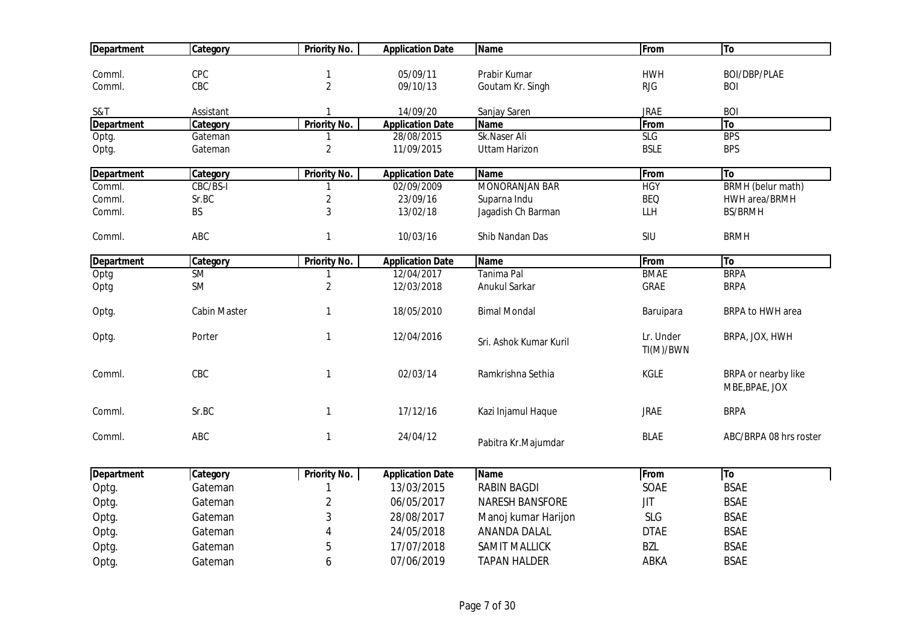| <b>Department</b> | Category            | Priority No.                | <b>Application Date</b> | <b>Name</b>            | From                   | To                                    |
|-------------------|---------------------|-----------------------------|-------------------------|------------------------|------------------------|---------------------------------------|
|                   | CPC                 |                             | 05/09/11                | Prabir Kumar           | <b>HWH</b>             | BOI/DBP/PLAE                          |
| Comml.<br>Comml.  | CBC                 | 1<br>$\overline{2}$         | 09/10/13                |                        | <b>RJG</b>             | <b>BOI</b>                            |
|                   |                     |                             |                         | Goutam Kr. Singh       |                        |                                       |
| S&T               | Assistant           |                             | 14/09/20                | Sanjay Saren           | <b>JRAE</b>            | <b>BOI</b>                            |
| <b>Department</b> | Category            | <b>Priority No.</b>         | <b>Application Date</b> | <b>Name</b>            | From                   | To                                    |
| Optg.             | Gateman             |                             | 28/08/2015              | Sk.Naser Ali           | <b>SLG</b>             | <b>BPS</b>                            |
| Optg.             | Gateman             | $\overline{2}$              | 11/09/2015              | <b>Uttam Harizon</b>   | <b>BSLE</b>            | <b>BPS</b>                            |
| <b>Department</b> | Category            | <b>Priority No.</b>         | <b>Application Date</b> | <b>Name</b>            | From                   | <b>To</b>                             |
| Comml.            | CBC/BS-I            | 1                           | 02/09/2009              | <b>MONORANJAN BAR</b>  | <b>HGY</b>             | <b>BRMH</b> (belur math)              |
| Comml.            | Sr.BC               | $\mathbf{2}$                | 23/09/16                | Suparna Indu           | <b>BEQ</b>             | HWH area/BRMH                         |
| Comml.            | <b>BS</b>           | 3                           | 13/02/18                | Jagadish Ch Barman     | LLH                    | <b>BS/BRMH</b>                        |
| Comml.            | ABC                 | $\mathbf{1}$                | 10/03/16                | Shib Nandan Das        | SIU                    | <b>BRMH</b>                           |
|                   |                     |                             |                         |                        |                        |                                       |
| <b>Department</b> | Category            | Priority No.                | <b>Application Date</b> | <b>Name</b>            | From                   | To                                    |
| Optg              | <b>SM</b>           |                             | 12/04/2017              | Tanima Pal             | <b>BMAE</b>            | <b>BRPA</b>                           |
| Optg              | SM                  | $\sqrt{2}$                  | 12/03/2018              | Anukul Sarkar          | <b>GRAE</b>            | <b>BRPA</b>                           |
| Optg.             | <b>Cabin Master</b> | 1                           | 18/05/2010              | <b>Bimal Mondal</b>    | Baruipara              | BRPA to HWH area                      |
| Optg.             | Porter              | $\mathbf{1}$                | 12/04/2016              | Sri. Ashok Kumar Kuril | Lr. Under<br>TI(M)/BWN | BRPA, JOX, HWH                        |
| Comml.            | CBC                 | 1                           | 02/03/14                | Ramkrishna Sethia      | KGLE                   | BRPA or nearby like<br>MBE, BPAE, JOX |
| Comml.            | Sr.BC               | 1                           | 17/12/16                | Kazi Injamul Haque     | <b>JRAE</b>            | <b>BRPA</b>                           |
| Comml.            | ABC                 | $\mathbf{1}$                | 24/04/12                | Pabitra Kr.Majumdar    | <b>BLAE</b>            | ABC/BRPA 08 hrs roster                |
| <b>Department</b> | Category            | <b>Priority No.</b>         | <b>Application Date</b> | Name                   | From                   | $\overline{I}$                        |
| Optg.             | Gateman             |                             | 13/03/2015              | <b>RABIN BAGDI</b>     | SOAE                   | <b>BSAE</b>                           |
| Optg.             | Gateman             | $\overline{2}$              | 06/05/2017              | <b>NARESH BANSFORE</b> | <b>JIT</b>             | <b>BSAE</b>                           |
| Optg.             | Gateman             | 3                           | 28/08/2017              | Manoj kumar Harijon    | <b>SLG</b>             | <b>BSAE</b>                           |
| Optg.             | Gateman             | $\boldsymbol{\vartriangle}$ | 24/05/2018              | ANANDA DALAL           | <b>DTAE</b>            | <b>BSAE</b>                           |
|                   | Gateman             | 5                           | 17/07/2018              | <b>SAMIT MALLICK</b>   | <b>BZL</b>             | <b>BSAE</b>                           |
| Optg.             |                     |                             |                         |                        |                        |                                       |
| Optg.             | Gateman             | 6                           | 07/06/2019              | <b>TAPAN HALDER</b>    | ABKA                   | <b>BSAE</b>                           |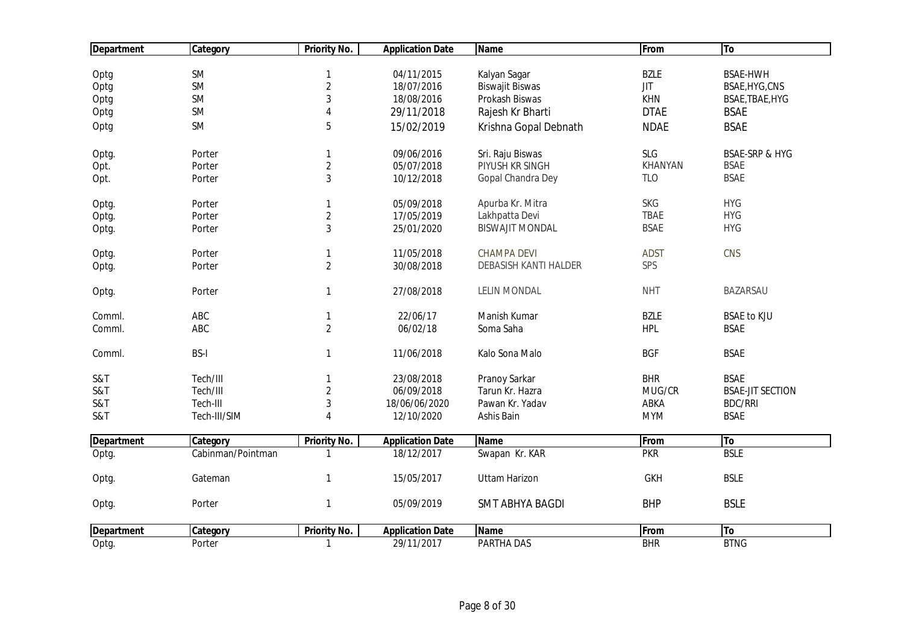| <b>Department</b> | Category          | <b>Priority No.</b> | <b>Application Date</b> | <b>Name</b>                  | From           | To                        |
|-------------------|-------------------|---------------------|-------------------------|------------------------------|----------------|---------------------------|
|                   |                   |                     |                         |                              |                |                           |
| Optg              | SM                | $\mathbf{1}$        | 04/11/2015              | Kalyan Sagar                 | <b>BZLE</b>    | <b>BSAE-HWH</b>           |
| Optg              | SM                | $\overline{2}$      | 18/07/2016              | <b>Biswajit Biswas</b>       | <b>JIT</b>     | BSAE, HYG, CNS            |
| Optg              | <b>SM</b>         | $\mathbf{3}$        | 18/08/2016              | Prokash Biswas               | KHN            | BSAE, TBAE, HYG           |
| Optg              | SM                | $\overline{4}$      | 29/11/2018              | Rajesh Kr Bharti             | <b>DTAE</b>    | <b>BSAE</b>               |
| Optg              | SM                | 5                   | 15/02/2019              | Krishna Gopal Debnath        | <b>NDAE</b>    | <b>BSAE</b>               |
| Optg.             | Porter            | $\mathbf{1}$        | 09/06/2016              | Sri. Raju Biswas             | SLG            | <b>BSAE-SRP &amp; HYG</b> |
| Opt.              | Porter            | $\overline{2}$      | 05/07/2018              | PIYUSH KR SINGH              | <b>KHANYAN</b> | <b>BSAE</b>               |
| Opt.              | Porter            | 3                   | 10/12/2018              | Gopal Chandra Dey            | <b>TLO</b>     | <b>BSAE</b>               |
| Optg.             | Porter            | $\mathbf{1}$        | 05/09/2018              | Apurba Kr. Mitra             | <b>SKG</b>     | <b>HYG</b>                |
| Optg.             | Porter            | $\overline{2}$      | 17/05/2019              | Lakhpatta Devi               | <b>TBAE</b>    | <b>HYG</b>                |
| Optg.             | Porter            | $\mathbf{3}$        | 25/01/2020              | <b>BISWAJIT MONDAL</b>       | <b>BSAE</b>    | <b>HYG</b>                |
| Optg.             | Porter            | 1                   | 11/05/2018              | <b>CHAMPA DEVI</b>           | <b>ADST</b>    | CNS                       |
| Optg.             | Porter            | $\overline{2}$      | 30/08/2018              | <b>DEBASISH KANTI HALDER</b> | SPS            |                           |
| Optg.             | Porter            | $\mathbf{1}$        | 27/08/2018              | <b>LELIN MONDAL</b>          | <b>NHT</b>     | <b>BAZARSAU</b>           |
| Comml.            | ABC               | 1                   | 22/06/17                | Manish Kumar                 | <b>BZLE</b>    | <b>BSAE to KJU</b>        |
| Comml.            | ABC               | $\overline{2}$      | 06/02/18                | Soma Saha                    | <b>HPL</b>     | <b>BSAE</b>               |
| Comml.            | <b>BS-I</b>       | $\mathbf{1}$        | 11/06/2018              | Kalo Sona Malo               | <b>BGF</b>     | <b>BSAE</b>               |
| S&T               | Tech/III          | 1                   | 23/08/2018              | Pranoy Sarkar                | <b>BHR</b>     | <b>BSAE</b>               |
| S&T               | Tech/III          | $\overline{2}$      | 06/09/2018              | Tarun Kr. Hazra              | MUG/CR         | <b>BSAE-JIT SECTION</b>   |
| S&T               | Tech-III          | $\mathfrak{Z}$      | 18/06/06/2020           | Pawan Kr. Yadav              | ABKA           | <b>BDC/RRI</b>            |
| S&T               | Tech-III/SIM      | $\overline{4}$      | 12/10/2020              | Ashis Bain                   | <b>MYM</b>     | <b>BSAE</b>               |
| <b>Department</b> | Category          | <b>Priority No.</b> | <b>Application Date</b> | <b>Name</b>                  | From           | To                        |
| Optg.             | Cabinman/Pointman |                     | 18/12/2017              | Swapan Kr. KAR               | <b>PKR</b>     | <b>BSLE</b>               |
| Optg.             | Gateman           | $\mathbf{1}$        | 15/05/2017              | <b>Uttam Harizon</b>         | <b>GKH</b>     | <b>BSLE</b>               |
| Optg.             | Porter            | $\mathbf{1}$        | 05/09/2019              | <b>SMT ABHYA BAGDI</b>       | <b>BHP</b>     | <b>BSLE</b>               |
| <b>Department</b> | Category          | <b>Priority No.</b> | <b>Application Date</b> | <b>Name</b>                  | From           | To                        |
| Optg.             | Porter            | 1                   | 29/11/2017              | PARTHA DAS                   | <b>BHR</b>     | <b>BTNG</b>               |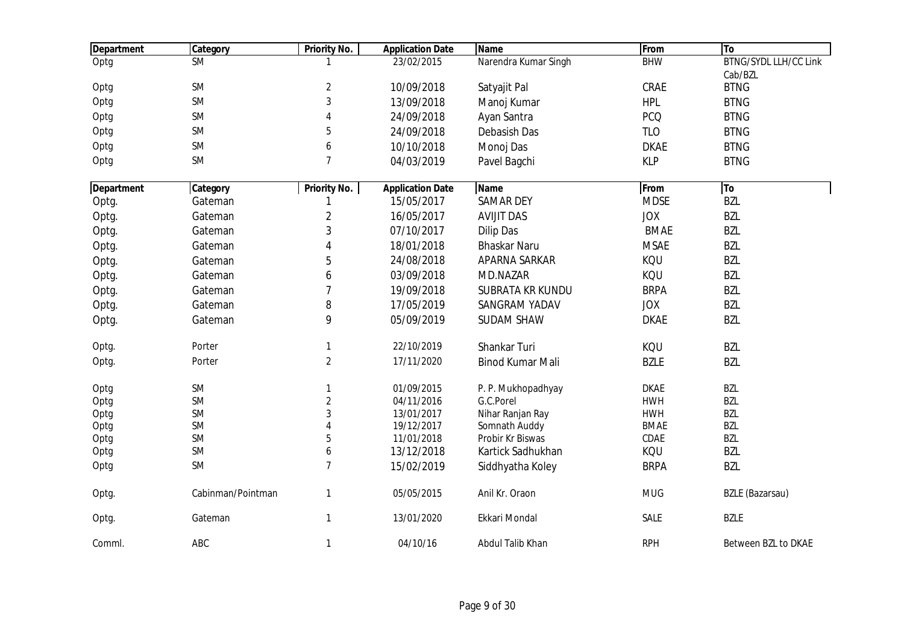| <b>Department</b> | Category               | <b>Priority No.</b> | <b>Application Date</b> | <b>Name</b>             | From        | To                           |
|-------------------|------------------------|---------------------|-------------------------|-------------------------|-------------|------------------------------|
| Optg              | $\overline{\text{SM}}$ |                     | 23/02/2015              | Narendra Kumar Singh    | <b>BHW</b>  | <b>BTNG/SYDL LLH/CC Link</b> |
|                   |                        |                     |                         |                         |             | Cab/BZL                      |
| Optg              | SM                     | $\overline{a}$      | 10/09/2018              | Satyajit Pal            | CRAE        | <b>BTNG</b>                  |
| Optg              | SM                     | 3                   | 13/09/2018              | Manoj Kumar             | <b>HPL</b>  | <b>BTNG</b>                  |
| Optg              | <b>SM</b>              | 4                   | 24/09/2018              | Ayan Santra             | <b>PCQ</b>  | <b>BTNG</b>                  |
| Optg              | SM                     | 5                   | 24/09/2018              | Debasish Das            | <b>TLO</b>  | <b>BTNG</b>                  |
| Optg              | <b>SM</b>              | 6                   | 10/10/2018              | Monoj Das               | <b>DKAE</b> | <b>BTNG</b>                  |
| Optg              | <b>SM</b>              | $\overline{7}$      | 04/03/2019              | Pavel Bagchi            | <b>KLP</b>  | <b>BTNG</b>                  |
| Department        | Category               | <b>Priority No.</b> | <b>Application Date</b> | <b>Name</b>             | From        | To                           |
| Optg.             | Gateman                | 1                   | 15/05/2017              | <b>SAMAR DEY</b>        | <b>MDSE</b> | <b>BZL</b>                   |
| Optg.             | Gateman                | $\overline{c}$      | 16/05/2017              | <b>AVIJIT DAS</b>       | <b>JOX</b>  | <b>BZL</b>                   |
| Optg.             | Gateman                | 3                   | 07/10/2017              | <b>Dilip Das</b>        | <b>BMAE</b> | <b>BZL</b>                   |
| Optg.             | Gateman                | $\overline{4}$      | 18/01/2018              | <b>Bhaskar Naru</b>     | <b>MSAE</b> | <b>BZL</b>                   |
| Optg.             | Gateman                | 5                   | 24/08/2018              | APARNA SARKAR           | KQU         | <b>BZL</b>                   |
| Optg.             | Gateman                | 6                   | 03/09/2018              | MD.NAZAR                | KQU         | <b>BZL</b>                   |
| Optg.             | Gateman                | $\overline{7}$      | 19/09/2018              | <b>SUBRATA KR KUNDU</b> | <b>BRPA</b> | <b>BZL</b>                   |
| Optg.             | Gateman                | 8                   | 17/05/2019              | SANGRAM YADAV           | <b>JOX</b>  | <b>BZL</b>                   |
| Optg.             | Gateman                | 9                   | 05/09/2019              | <b>SUDAM SHAW</b>       | <b>DKAE</b> | <b>BZL</b>                   |
| Optg.             | Porter                 | $\mathbf{1}$        | 22/10/2019              | Shankar Turi            | KQU         | <b>BZL</b>                   |
| Optg.             | Porter                 | $\overline{2}$      | 17/11/2020              | <b>Binod Kumar Mali</b> | <b>BZLE</b> | <b>BZL</b>                   |
| Optg              | SM                     | $\mathbf{1}$        | 01/09/2015              | P. P. Mukhopadhyay      | <b>DKAE</b> | <b>BZL</b>                   |
| Optg              | SM                     | $\sqrt{2}$          | 04/11/2016              | G.C.Porel               | <b>HWH</b>  | <b>BZL</b>                   |
| Optg              | SM                     | 3                   | 13/01/2017              | Nihar Ranjan Ray        | <b>HWH</b>  | <b>BZL</b>                   |
| Optg              | <b>SM</b>              | $\overline{4}$      | 19/12/2017              | Somnath Auddy           | <b>BMAE</b> | <b>BZL</b>                   |
| Optg              | <b>SM</b>              | 5                   | 11/01/2018              | Probir Kr Biswas        | CDAE        | <b>BZL</b>                   |
| Optg              | <b>SM</b>              | 6                   | 13/12/2018              | Kartick Sadhukhan       | KQU         | <b>BZL</b>                   |
| Optg              | <b>SM</b>              | $\overline{7}$      | 15/02/2019              | Siddhyatha Koley        | <b>BRPA</b> | <b>BZL</b>                   |
| Optg.             | Cabinman/Pointman      | $\mathbf{1}$        | 05/05/2015              | Anil Kr. Oraon          | <b>MUG</b>  | <b>BZLE</b> (Bazarsau)       |
| Optg.             | Gateman                | $\mathbf{1}$        | 13/01/2020              | Ekkari Mondal           | SALE        | <b>BZLE</b>                  |
| Comml.            | ABC                    | $\mathbf{1}$        | 04/10/16                | Abdul Talib Khan        | <b>RPH</b>  | Between BZL to DKAE          |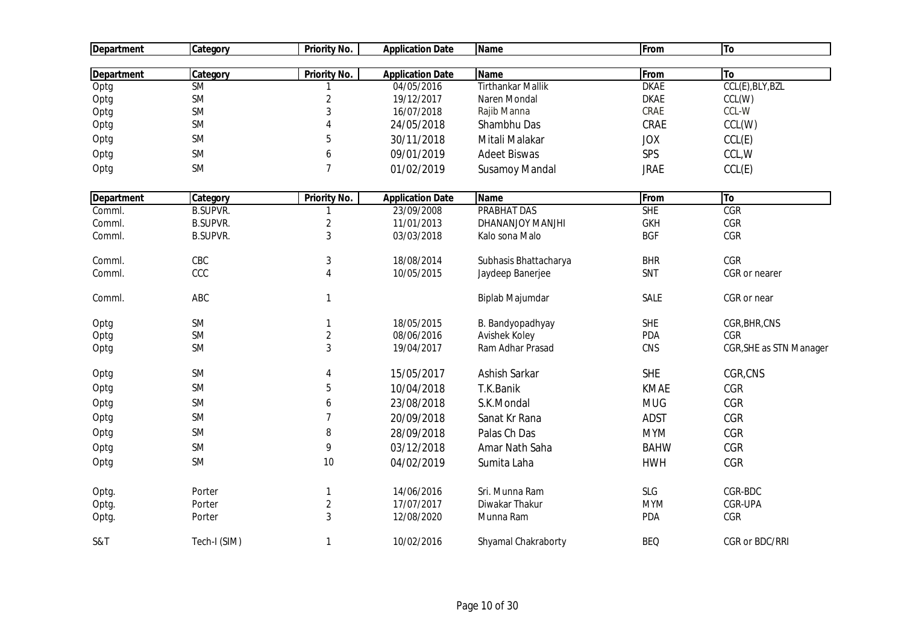| <b>Department</b> | Category         | <b>Priority No.</b>            | <b>Application Date</b>  | <b>Name</b>                      | From        | To                      |
|-------------------|------------------|--------------------------------|--------------------------|----------------------------------|-------------|-------------------------|
|                   |                  |                                |                          |                                  |             |                         |
| Department        | Category         | <b>Priority No.</b>            | <b>Application Date</b>  | <b>Name</b>                      | From        | To                      |
| Optg              | <b>SM</b>        | 1                              | 04/05/2016               | <b>Tirthankar Mallik</b>         | <b>DKAE</b> | CCL(E), BLY, BZL        |
| Optg              | <b>SM</b>        | $\overline{c}$                 | 19/12/2017               | Naren Mondal                     | <b>DKAE</b> | CCL(W)                  |
| Optg              | <b>SM</b>        | 3                              | 16/07/2018               | Rajib Manna                      | CRAE        | CCL-W                   |
| Optg              | <b>SM</b>        | 4                              | 24/05/2018               | Shambhu Das                      | CRAE        | CCL(W)                  |
| Optg              | <b>SM</b>        | 5                              | 30/11/2018               | Mitali Malakar                   | <b>JOX</b>  | CCL(E)                  |
| Optg              | <b>SM</b>        | 6                              | 09/01/2019               | <b>Adeet Biswas</b>              | SPS         | CCL, W                  |
| Optg              | <b>SM</b>        | $\overline{7}$                 | 01/02/2019               | <b>Susamoy Mandal</b>            | <b>JRAE</b> | CCL(E)                  |
| <b>Department</b> | Category         | <b>Priority No.</b>            | <b>Application Date</b>  | <b>Name</b>                      | From        | To                      |
| Comml.            | <b>B.SUPVR.</b>  | $\mathbf{1}$                   | 23/09/2008               | <b>PRABHAT DAS</b>               | <b>SHE</b>  | CGR                     |
| Comml.            | <b>B.SUPVR.</b>  | $\overline{2}$                 | 11/01/2013               | DHANANJOY MANJHI                 | <b>GKH</b>  | CGR                     |
| Comml.            | <b>B.SUPVR.</b>  | 3                              | 03/03/2018               | Kalo sona Malo                   | <b>BGF</b>  | CGR                     |
| Comml.            | CBC              | 3                              | 18/08/2014               | Subhasis Bhattacharya            | <b>BHR</b>  | CGR                     |
| Comml.            | CCC              | 4                              | 10/05/2015               | Jaydeep Banerjee                 | SNT         | CGR or nearer           |
| Comml.            | ABC              | $\mathbf{1}$                   |                          | Biplab Majumdar                  | SALE        | CGR or near             |
| Optg              | <b>SM</b>        | 1                              | 18/05/2015               | B. Bandyopadhyay                 | <b>SHE</b>  | CGR, BHR, CNS           |
| Optg              | <b>SM</b>        | $\sqrt{2}$                     | 08/06/2016               | Avishek Koley                    | <b>PDA</b>  | CGR                     |
| Optg              | <b>SM</b>        | 3                              | 19/04/2017               | Ram Adhar Prasad                 | CNS         | CGR, SHE as STN Manager |
| Optg              | <b>SM</b>        | 4                              | 15/05/2017               | Ashish Sarkar                    | <b>SHE</b>  | CGR,CNS                 |
| Optg              | <b>SM</b>        | 5                              | 10/04/2018               | T.K.Banik                        | <b>KMAE</b> | <b>CGR</b>              |
| Optg              | <b>SM</b>        | 6                              | 23/08/2018               | S.K.Mondal                       | <b>MUG</b>  | CGR                     |
| Optg              | <b>SM</b>        | $\overline{7}$                 | 20/09/2018               | Sanat Kr Rana                    | <b>ADST</b> | CGR                     |
| Optg              | <b>SM</b>        | 8                              | 28/09/2018               | Palas Ch Das                     | <b>MYM</b>  | <b>CGR</b>              |
| Optg              | <b>SM</b>        | 9                              | 03/12/2018               | Amar Nath Saha                   | <b>BAHW</b> | CGR                     |
| Optg              | <b>SM</b>        | 10                             | 04/02/2019               | Sumita Laha                      | <b>HWH</b>  | CGR                     |
|                   |                  |                                |                          |                                  | <b>SLG</b>  | CGR-BDC                 |
| Optg.             | Porter<br>Porter | $\mathbf{1}$<br>$\overline{2}$ | 14/06/2016<br>17/07/2017 | Sri. Munna Ram<br>Diwakar Thakur | <b>MYM</b>  | CGR-UPA                 |
| Optg.             | Porter           | 3                              | 12/08/2020               | Munna Ram                        | PDA         | CGR                     |
| Optg.             |                  |                                |                          |                                  |             |                         |
| S&T               | Tech-I (SIM)     | 1                              | 10/02/2016               | Shyamal Chakraborty              | <b>BEQ</b>  | CGR or BDC/RRI          |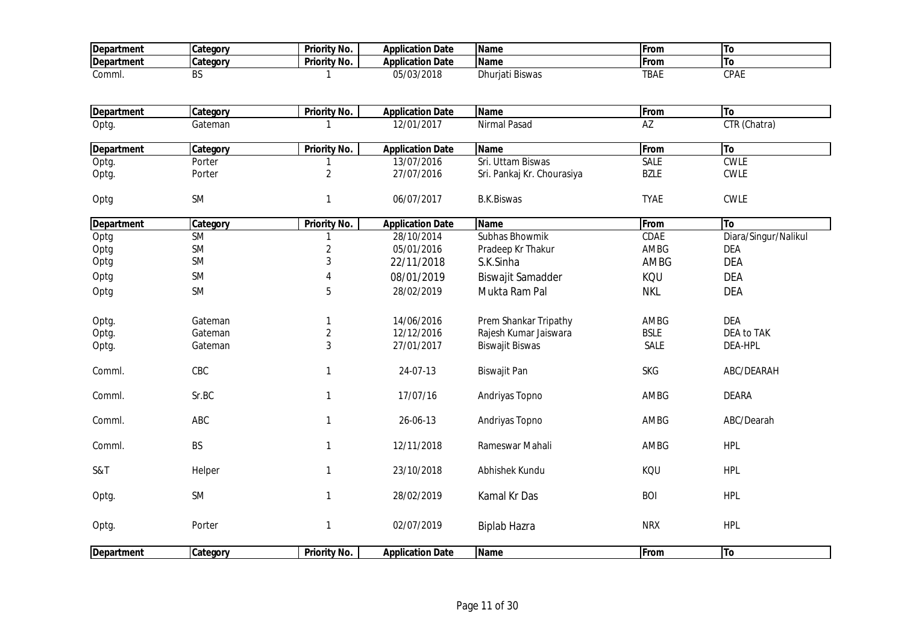| <b>Department</b>         | Category  | <b>Priority No.</b> | <b>Application Date</b>               | <b>Name</b>                | From        | To                   |
|---------------------------|-----------|---------------------|---------------------------------------|----------------------------|-------------|----------------------|
| <b>Department</b>         | Category  | Priority No.        | <b>Application Date</b>               | <b>Name</b>                | From        | <b>To</b>            |
| Comml.                    | BS.       |                     | 05/03/2018                            | Dhurjati Biswas            | <b>TBAE</b> | <b>CPAE</b>          |
|                           |           |                     |                                       |                            |             |                      |
| <b>Department</b>         | Category  | <b>Priority No.</b> | <b>Application Date</b>               | <b>Name</b>                | From        | To                   |
| Optg.                     | Gateman   |                     | 12/01/2017                            | Nirmal Pasad               | AZ          | CTR (Chatra)         |
| <b>Department</b>         | Category  | <b>Priority No.</b> | <b>Application Date</b>               | <b>Name</b>                | From        | To                   |
| Optg.                     | Porter    |                     | 13/07/2016                            | Sri. Uttam Biswas          | SALE        | <b>CWLE</b>          |
| Optg.                     | Porter    | $\overline{2}$      | 27/07/2016                            | Sri. Pankaj Kr. Chourasiya | <b>BZLE</b> | <b>CWLE</b>          |
| Optg                      | SM        | $\mathbf{1}$        | 06/07/2017                            | <b>B.K.Biswas</b>          | <b>TYAE</b> | <b>CWLE</b>          |
|                           | Category  | Priority No.        |                                       | <b>Name</b>                | From        | <b>To</b>            |
| <b>Department</b><br>Optg | <b>SM</b> | 1                   | <b>Application Date</b><br>28/10/2014 | Subhas Bhowmik             | CDAE        | Diara/Singur/Nalikul |
| Optg                      | SM        | $\overline{2}$      | 05/01/2016                            | Pradeep Kr Thakur          | AMBG        | <b>DEA</b>           |
| Optg                      | SM        | $\mathbf{3}$        | 22/11/2018                            | S.K.Sinha                  | AMBG        | <b>DEA</b>           |
|                           |           |                     |                                       |                            |             |                      |
| Optg                      | <b>SM</b> | $\overline{4}$      | 08/01/2019                            | Biswajit Samadder          | KQU         | <b>DEA</b>           |
| Optg                      | <b>SM</b> | 5                   | 28/02/2019                            | Mukta Ram Pal              | <b>NKL</b>  | <b>DEA</b>           |
| Optg.                     | Gateman   | 1                   | 14/06/2016                            | Prem Shankar Tripathy      | AMBG        | <b>DEA</b>           |
| Optg.                     | Gateman   | $\overline{2}$      | 12/12/2016                            | Rajesh Kumar Jaiswara      | <b>BSLE</b> | DEA to TAK           |
| Optg.                     | Gateman   | $\mathfrak{Z}$      | 27/01/2017                            | <b>Biswajit Biswas</b>     | SALE        | <b>DEA-HPL</b>       |
| Comml.                    | CBC       | $\mathbf{1}$        | 24-07-13                              | Biswajit Pan               | <b>SKG</b>  | ABC/DEARAH           |
| Comml.                    | Sr.BC     | $\mathbf{1}$        | 17/07/16                              | Andriyas Topno             | AMBG        | <b>DEARA</b>         |
| Comml.                    | ABC       | $\mathbf{1}$        | 26-06-13                              | Andriyas Topno             | AMBG        | ABC/Dearah           |
| Comml.                    | BS        | 1                   | 12/11/2018                            | Rameswar Mahali            | AMBG        | <b>HPL</b>           |
| S&T                       | Helper    | $\mathbf{1}$        | 23/10/2018                            | Abhishek Kundu             | KQU         | <b>HPL</b>           |
| Optg.                     | SM        | $\mathbf{1}$        | 28/02/2019                            | Kamal Kr Das               | <b>BOI</b>  | <b>HPL</b>           |
| Optg.                     | Porter    | $\mathbf{1}$        | 02/07/2019                            | Biplab Hazra               | <b>NRX</b>  | <b>HPL</b>           |
| Department                | Category  | <b>Priority No.</b> | <b>Application Date</b>               | <b>Name</b>                | From        | To                   |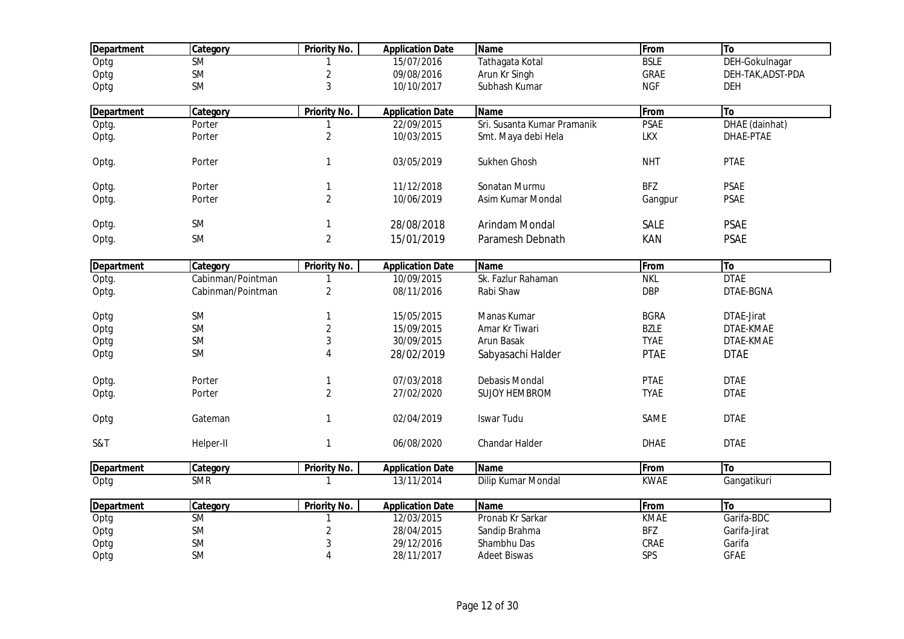| <b>Department</b> | Category          | <b>Priority No.</b> | <b>Application Date</b> | <b>Name</b>                 | From        | To                |
|-------------------|-------------------|---------------------|-------------------------|-----------------------------|-------------|-------------------|
| Optg              | <b>SM</b>         |                     | 15/07/2016              | Tathagata Kotal             | <b>BSLE</b> | DEH-Gokulnagar    |
| Optg              | <b>SM</b>         | $\overline{2}$      | 09/08/2016              | Arun Kr Singh               | GRAE        | DEH-TAK, ADST-PDA |
| Optg              | <b>SM</b>         | 3                   | 10/10/2017              | Subhash Kumar               | <b>NGF</b>  | <b>DEH</b>        |
| <b>Department</b> | Category          | Priority No.        | <b>Application Date</b> | <b>Name</b>                 | From        | To                |
| Optg.             | Porter            |                     | 22/09/2015              | Sri. Susanta Kumar Pramanik | <b>PSAE</b> | DHAE (dainhat)    |
| Optg.             | Porter            | $\sqrt{2}$          | 10/03/2015              | Smt. Maya debi Hela         | <b>LKX</b>  | DHAE-PTAE         |
| Optg.             | Porter            | $\mathbf{1}$        | 03/05/2019              | Sukhen Ghosh                | <b>NHT</b>  | <b>PTAE</b>       |
| Optg.             | Porter            | $\mathbf{1}$        | 11/12/2018              | Sonatan Murmu               | <b>BFZ</b>  | <b>PSAE</b>       |
| Optg.             | Porter            | $\overline{2}$      | 10/06/2019              | Asim Kumar Mondal           | Gangpur     | <b>PSAE</b>       |
| Optg.             | <b>SM</b>         | $\mathbf{1}$        | 28/08/2018              | Arindam Mondal              | <b>SALE</b> | <b>PSAE</b>       |
| Optg.             | <b>SM</b>         | $\overline{2}$      | 15/01/2019              | Paramesh Debnath            | KAN         | <b>PSAE</b>       |
| <b>Department</b> | Category          | <b>Priority No.</b> | <b>Application Date</b> | <b>Name</b>                 | From        | To                |
| Optg.             | Cabinman/Pointman | 1                   | 10/09/2015              | Sk. Fazlur Rahaman          | <b>NKL</b>  | <b>DTAE</b>       |
| Optg.             | Cabinman/Pointman | $\sqrt{2}$          | 08/11/2016              | Rabi Shaw                   | <b>DBP</b>  | DTAE-BGNA         |
| Optg              | <b>SM</b>         | 1                   | 15/05/2015              | Manas Kumar                 | <b>BGRA</b> | DTAE-Jirat        |
| Optg              | <b>SM</b>         | $\overline{2}$      | 15/09/2015              | Amar Kr Tiwari              | <b>BZLE</b> | DTAE-KMAE         |
| Optg              | <b>SM</b>         | 3                   | 30/09/2015              | Arun Basak                  | <b>TYAE</b> | DTAE-KMAE         |
| Optg              | <b>SM</b>         | 4                   | 28/02/2019              | Sabyasachi Halder           | <b>PTAE</b> | <b>DTAE</b>       |
| Optg.             | Porter            | $\mathbf{1}$        | 07/03/2018              | Debasis Mondal              | <b>PTAE</b> | <b>DTAE</b>       |
| Optg.             | Porter            | $\overline{2}$      | 27/02/2020              | <b>SUJOY HEMBROM</b>        | <b>TYAE</b> | <b>DTAE</b>       |
| Optg              | Gateman           | $\mathbf{1}$        | 02/04/2019              | <b>Iswar Tudu</b>           | SAME        | <b>DTAE</b>       |
| S&T               | Helper-II         | $\mathbf{1}$        | 06/08/2020              | Chandar Halder              | <b>DHAE</b> | <b>DTAE</b>       |
| <b>Department</b> | Category          | <b>Priority No.</b> | <b>Application Date</b> | Name                        | From        | To                |
| Optg              | <b>SMR</b>        | -1                  | 13/11/2014              | Dilip Kumar Mondal          | <b>KWAE</b> | Gangatikuri       |
| <b>Department</b> | Category          | Priority No.        | <b>Application Date</b> | <b>Name</b>                 | From        | To                |
| Optg              | <b>SM</b>         |                     | 12/03/2015              | Pronab Kr Sarkar            | <b>KMAE</b> | Garifa-BDC        |
| Optg              | <b>SM</b>         | $\overline{c}$      | 28/04/2015              | Sandip Brahma               | <b>BFZ</b>  | Garifa-Jirat      |
| Optg              | <b>SM</b>         | 3                   | 29/12/2016              | Shambhu Das                 | CRAE        | Garifa            |
| Optg              | <b>SM</b>         | $\overline{4}$      | 28/11/2017              | <b>Adeet Biswas</b>         | SPS         | <b>GFAE</b>       |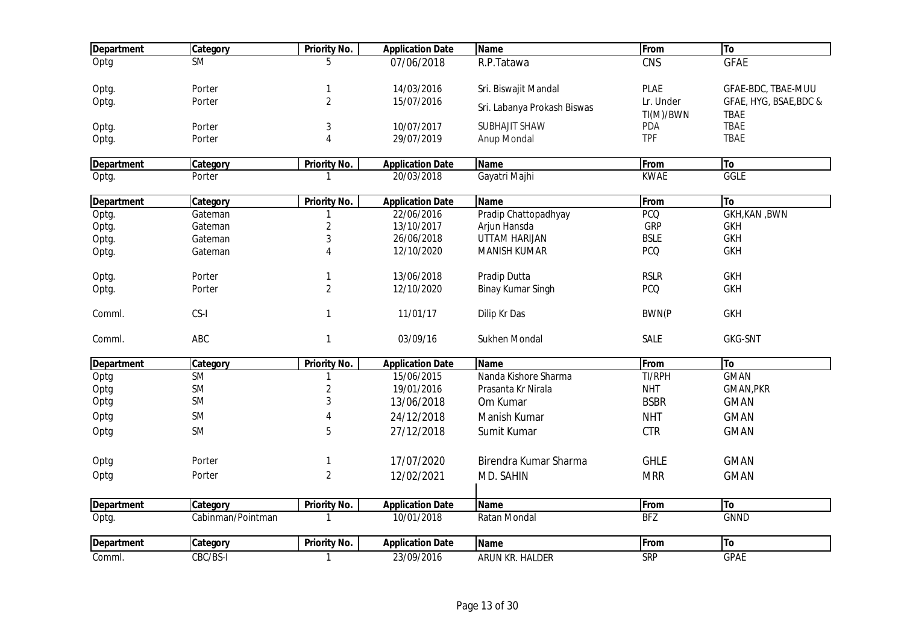| <b>Department</b> | Category               | Priority No.            | <b>Application Date</b> | <b>Name</b>                 | From             | To                         |
|-------------------|------------------------|-------------------------|-------------------------|-----------------------------|------------------|----------------------------|
| Optg              | $\overline{\text{SM}}$ | ҕ                       | $\overline{07}/06/2018$ | R.P.Tatawa                  | CNS              | <b>GFAE</b>                |
| Optg.             | Porter                 | 1                       | 14/03/2016              | Sri. Biswajit Mandal        | <b>PLAE</b>      | GFAE-BDC, TBAE-MUU         |
| Optg.             | Porter                 | $\overline{2}$          | 15/07/2016              | Sri. Labanya Prokash Biswas | Lr. Under        | GFAE, HYG, BSAE, BDC &     |
| Optg.             | Porter                 | 3                       | 10/07/2017              | <b>SUBHAJIT SHAW</b>        | TI(M)/BWN<br>PDA | <b>TBAE</b><br><b>TBAE</b> |
| Optg.             | Porter                 | $\overline{\mathbf{4}}$ | 29/07/2019              | Anup Mondal                 | <b>TPF</b>       | <b>TBAE</b>                |
| <b>Department</b> | Category               | <b>Priority No.</b>     | <b>Application Date</b> | <b>Name</b>                 | From             | <b>To</b>                  |
| Optg.             | Porter                 | 1                       | 20/03/2018              | Gayatri Majhi               | <b>KWAE</b>      | <b>GGLE</b>                |
| <b>Department</b> | Category               | Priority No.            | <b>Application Date</b> | Name                        | From             | To                         |
| Optg.             | Gateman                |                         | 22/06/2016              | Pradip Chattopadhyay        | <b>PCQ</b>       | <b>GKH, KAN, BWN</b>       |
| Optg.             | Gateman                | $\overline{c}$          | 13/10/2017              | Arjun Hansda                | GRP              | <b>GKH</b>                 |
| Optg.             | Gateman                | 3                       | 26/06/2018              | UTTAM HARIJAN               | <b>BSLE</b>      | <b>GKH</b>                 |
| Optg.             | Gateman                | 4                       | 12/10/2020              | <b>MANISH KUMAR</b>         | <b>PCQ</b>       | <b>GKH</b>                 |
| Optg.             | Porter                 | 1                       | 13/06/2018              | Pradip Dutta                | <b>RSLR</b>      | <b>GKH</b>                 |
| Optg.             | Porter                 | $\overline{2}$          | 12/10/2020              | <b>Binay Kumar Singh</b>    | <b>PCQ</b>       | <b>GKH</b>                 |
| Comml.            | CS-I                   | $\mathbf{1}$            | 11/01/17                | Dilip Kr Das                | <b>BWN(P</b>     | <b>GKH</b>                 |
| Comml.            | ABC                    | $\mathbf{1}$            | 03/09/16                | Sukhen Mondal               | SALE             | <b>GKG-SNT</b>             |
| <b>Department</b> | Category               | <b>Priority No.</b>     | <b>Application Date</b> | <b>Name</b>                 | From             | To                         |
| Optg              | <b>SM</b>              | 1                       | 15/06/2015              | Nanda Kishore Sharma        | TI/RPH           | <b>GMAN</b>                |
| Optg              | <b>SM</b>              | $\overline{c}$          | 19/01/2016              | Prasanta Kr Nirala          | <b>NHT</b>       | GMAN, PKR                  |
| Optg              | <b>SM</b>              | 3                       | 13/06/2018              | Om Kumar                    | <b>BSBR</b>      | <b>GMAN</b>                |
| Optg              | <b>SM</b>              | 4                       | 24/12/2018              | Manish Kumar                | <b>NHT</b>       | <b>GMAN</b>                |
| Optg              | <b>SM</b>              | 5                       | 27/12/2018              | Sumit Kumar                 | <b>CTR</b>       | <b>GMAN</b>                |
| Optg              | Porter                 | 1                       | 17/07/2020              | Birendra Kumar Sharma       | <b>GHLE</b>      | <b>GMAN</b>                |
|                   | Porter                 | $\overline{c}$          | 12/02/2021              |                             |                  |                            |
| Optg              |                        |                         |                         | MD. SAHIN                   | <b>MRR</b>       | <b>GMAN</b>                |
| <b>Department</b> | Category               | Priority No.            | <b>Application Date</b> | <b>Name</b>                 | <b>From</b>      | To                         |
| Optg.             | Cabinman/Pointman      | 1                       | 10/01/2018              | <b>Ratan Mondal</b>         | <b>BFZ</b>       | <b>GNND</b>                |
| <b>Department</b> | Category               | <b>Priority No.</b>     | <b>Application Date</b> | <b>Name</b>                 | From             | To                         |
| Comml.            | CBC/BS-I               | $\mathbf{1}$            | 23/09/2016              | ARUN KR. HALDER             | <b>SRP</b>       | <b>GPAE</b>                |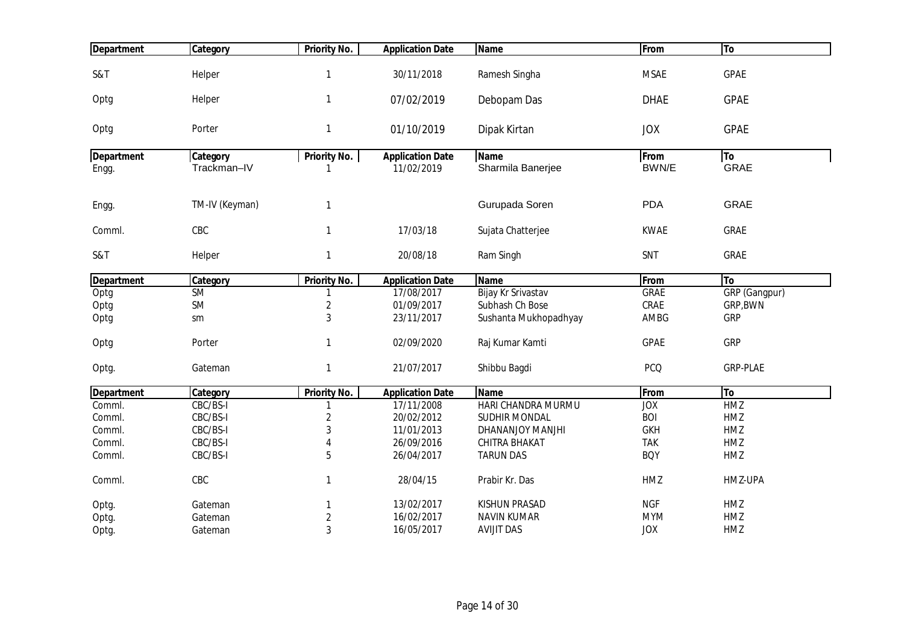| <b>Department</b> | Category       | <b>Priority No.</b> | <b>Application Date</b> | <b>Name</b>           | From        | To              |
|-------------------|----------------|---------------------|-------------------------|-----------------------|-------------|-----------------|
|                   |                |                     |                         |                       |             |                 |
| S&T               | Helper         | $\mathbf{1}$        | 30/11/2018              | Ramesh Singha         | <b>MSAE</b> | <b>GPAE</b>     |
|                   |                | $\mathbf{1}$        |                         |                       |             |                 |
| Optg              | Helper         |                     | 07/02/2019              | Debopam Das           | <b>DHAE</b> | <b>GPAE</b>     |
| Optg              | Porter         | $\mathbf{1}$        | 01/10/2019              | Dipak Kirtan          | <b>JOX</b>  | <b>GPAE</b>     |
|                   |                |                     |                         |                       |             |                 |
| <b>Department</b> | Category       | <b>Priority No.</b> | <b>Application Date</b> | <b>Name</b>           | From        | To              |
| Engg.             | Trackman-IV    | 1                   | 11/02/2019              | Sharmila Banerjee     | BWN/E       | <b>GRAE</b>     |
|                   |                |                     |                         |                       | <b>PDA</b>  | <b>GRAE</b>     |
| Engg.             | TM-IV (Keyman) | $\mathbf{1}$        |                         | Gurupada Soren        |             |                 |
| Comml.            | CBC            | $\mathbf{1}$        | 17/03/18                | Sujata Chatterjee     | <b>KWAE</b> | <b>GRAE</b>     |
|                   |                |                     |                         |                       |             |                 |
| S&T               | Helper         | $\mathbf{1}$        | 20/08/18                | Ram Singh             | SNT         | <b>GRAE</b>     |
| <b>Department</b> | Category       | <b>Priority No.</b> | <b>Application Date</b> | <b>Name</b>           | From        | To              |
| Optg              | <b>SM</b>      | 1                   | 17/08/2017              | Bijay Kr Srivastav    | <b>GRAE</b> | GRP (Gangpur)   |
| Optg              | <b>SM</b>      | $\sqrt{2}$          | 01/09/2017              | Subhash Ch Bose       | CRAE        | GRP, BWN        |
| Optg              | sm             | 3                   | 23/11/2017              | Sushanta Mukhopadhyay | AMBG        | <b>GRP</b>      |
| Optg              | Porter         | $\mathbf{1}$        | 02/09/2020              | Raj Kumar Kamti       | <b>GPAE</b> | <b>GRP</b>      |
|                   |                |                     |                         |                       |             |                 |
| Optg.             | Gateman        | $\mathbf{1}$        | 21/07/2017              | Shibbu Bagdi          | <b>PCQ</b>  | <b>GRP-PLAE</b> |
| <b>Department</b> | Category       | <b>Priority No.</b> | <b>Application Date</b> | <b>Name</b>           | From        | To              |
| Comml.            | CBC/BS-I       | 1                   | 17/11/2008              | HARI CHANDRA MURMU    | <b>JOX</b>  | <b>HMZ</b>      |
| Comml.            | CBC/BS-I       | $\overline{2}$      | 20/02/2012              | <b>SUDHIR MONDAL</b>  | <b>BOI</b>  | HMZ             |
| Comml.            | CBC/BS-I       | 3                   | 11/01/2013              | DHANANJOY MANJHI      | <b>GKH</b>  | HMZ             |
| Comml.            | CBC/BS-I       | 4                   | 26/09/2016              | CHITRA BHAKAT         | <b>TAK</b>  | HMZ             |
| Comml.            | CBC/BS-I       | 5                   | 26/04/2017              | <b>TARUN DAS</b>      | <b>BOY</b>  | HMZ             |
|                   |                |                     |                         |                       |             |                 |
| Comml.            | CBC            | 1                   | 28/04/15                | Prabir Kr. Das        | HMZ         | HMZ-UPA         |
| Optg.             | Gateman        | 1                   | 13/02/2017              | KISHUN PRASAD         | <b>NGF</b>  | HMZ             |
| Optg.             | Gateman        | $\overline{2}$      | 16/02/2017              | <b>NAVIN KUMAR</b>    | <b>MYM</b>  | HMZ             |
| Optg.             | Gateman        | 3                   | 16/05/2017              | <b>AVIJIT DAS</b>     | <b>JOX</b>  | HMZ             |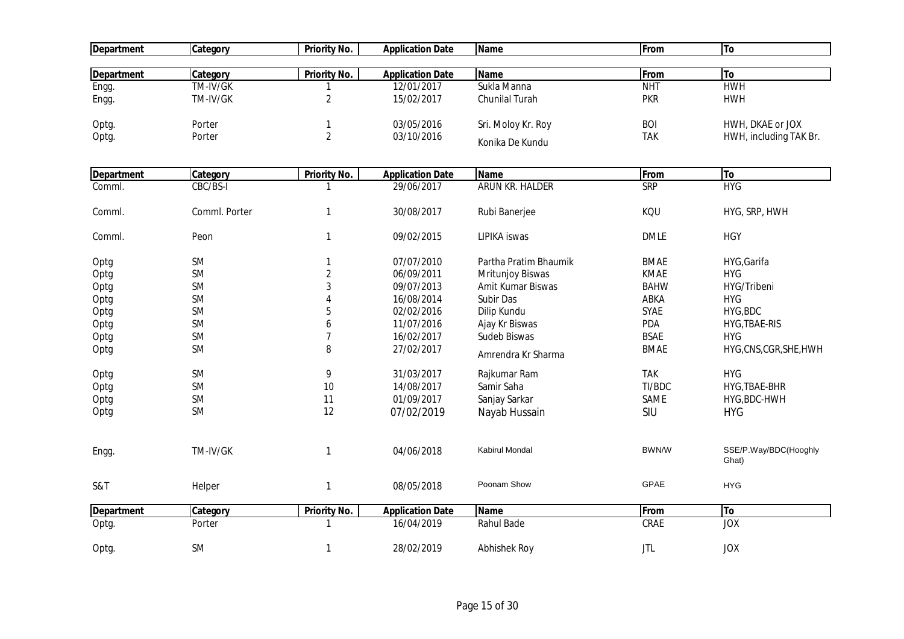| <b>Department</b> | Category      | <b>Priority No.</b> | <b>Application Date</b> | Name                  | From        | To                             |
|-------------------|---------------|---------------------|-------------------------|-----------------------|-------------|--------------------------------|
| <b>Department</b> | Category      | <b>Priority No.</b> | <b>Application Date</b> | <b>Name</b>           | From        | To                             |
| Engg.             | TM-IV/GK      | $\mathbf{1}$        | 12/01/2017              | Sukla Manna           | <b>NHT</b>  | <b>HWH</b>                     |
| Engg.             | TM-IV/GK      | $\overline{2}$      | 15/02/2017              | Chunilal Turah        | <b>PKR</b>  | <b>HWH</b>                     |
|                   |               |                     |                         |                       |             |                                |
| Optg.             | Porter        | $\mathbf{1}$        | 03/05/2016              | Sri. Moloy Kr. Roy    | <b>BOI</b>  | HWH, DKAE or JOX               |
| Optg.             | Porter        | $\overline{2}$      | 03/10/2016              | Konika De Kundu       | <b>TAK</b>  | HWH, including TAK Br.         |
| <b>Department</b> | Category      | <b>Priority No.</b> | <b>Application Date</b> | <b>Name</b>           | From        | To                             |
| Comml.            | CBC/BS-I      | $\mathbf{1}$        | 29/06/2017              | ARUN KR. HALDER       | SRP         | HYG                            |
| Comml.            | Comml. Porter | $\mathbf{1}$        | 30/08/2017              | Rubi Banerjee         | KQU         | HYG, SRP, HWH                  |
| Comml.            | Peon          | $\mathbf{1}$        | 09/02/2015              | LIPIKA iswas          | <b>DMLE</b> | <b>HGY</b>                     |
| Optg              | <b>SM</b>     | $\mathbf{1}$        | 07/07/2010              | Partha Pratim Bhaumik | <b>BMAE</b> | HYG, Garifa                    |
| Optg              | <b>SM</b>     | $\overline{2}$      | 06/09/2011              | Mritunjoy Biswas      | <b>KMAE</b> | <b>HYG</b>                     |
| Optg              | <b>SM</b>     | 3                   | 09/07/2013              | Amit Kumar Biswas     | <b>BAHW</b> | HYG/Tribeni                    |
| Optg              | <b>SM</b>     | 4                   | 16/08/2014              | Subir Das             | ABKA        | <b>HYG</b>                     |
| Optg              | <b>SM</b>     | 5                   | 02/02/2016              | Dilip Kundu           | <b>SYAE</b> | HYG, BDC                       |
| Optg              | <b>SM</b>     | 6                   | 11/07/2016              | Ajay Kr Biswas        | PDA         | HYG, TBAE-RIS                  |
| Optg              | <b>SM</b>     | $\overline{7}$      | 16/02/2017              | Sudeb Biswas          | <b>BSAE</b> | <b>HYG</b>                     |
| Optg              | <b>SM</b>     | 8                   | 27/02/2017              | Amrendra Kr Sharma    | <b>BMAE</b> | HYG,CNS,CGR,SHE,HWH            |
| Optg              | <b>SM</b>     | 9                   | 31/03/2017              | Rajkumar Ram          | <b>TAK</b>  | <b>HYG</b>                     |
| Optg              | <b>SM</b>     | 10                  | 14/08/2017              | Samir Saha            | TI/BDC      | HYG, TBAE-BHR                  |
| Optg              | <b>SM</b>     | 11                  | 01/09/2017              | Sanjay Sarkar         | SAME        | HYG, BDC-HWH                   |
| Optg              | <b>SM</b>     | 12                  | 07/02/2019              | Nayab Hussain         | SIU         | <b>HYG</b>                     |
| Engg.             | TM-IV/GK      | $\mathbf{1}$        | 04/06/2018              | Kabirul Mondal        | BWN/W       | SSE/P.Way/BDC(Hooghly<br>Ghat) |
| S&T               | Helper        | $\mathbf{1}$        | 08/05/2018              | Poonam Show           | GPAE        | <b>HYG</b>                     |
| <b>Department</b> | Category      | <b>Priority No.</b> | <b>Application Date</b> | <b>Name</b>           | From        | To                             |
| Optg.             | Porter        | $\mathbf{1}$        | 16/04/2019              | Rahul Bade            | CRAE        | <b>JOX</b>                     |
| Optg.             | <b>SM</b>     | $\mathbf{1}$        | 28/02/2019              | <b>Abhishek Roy</b>   | <b>JTL</b>  | <b>JOX</b>                     |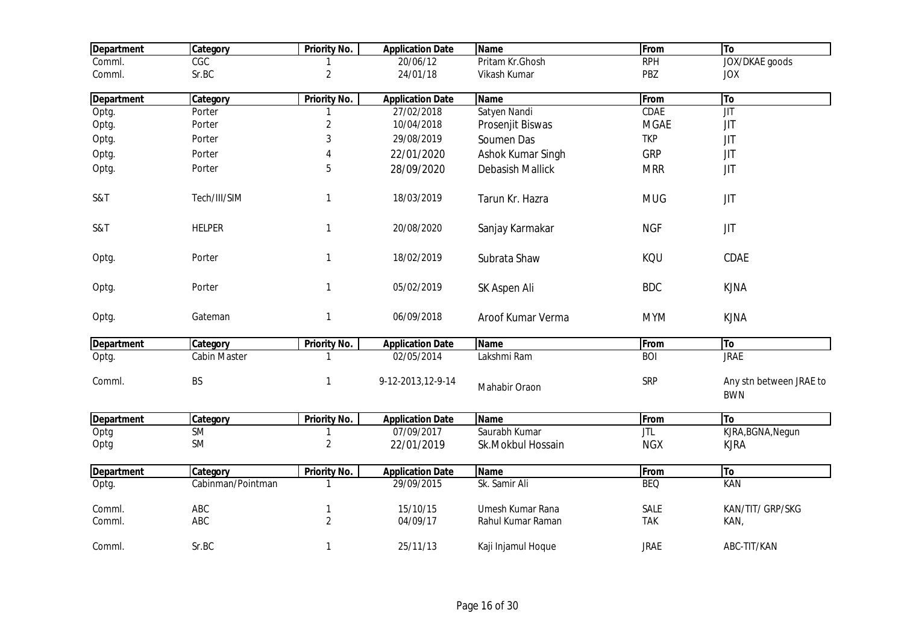| <b>Department</b> | Category          | <b>Priority No.</b> | <b>Application Date</b> | <b>Name</b>             | From        | To                                            |
|-------------------|-------------------|---------------------|-------------------------|-------------------------|-------------|-----------------------------------------------|
| Comml.            | CGC               |                     | 20/06/12                | Pritam Kr.Ghosh         | <b>RPH</b>  | <b>JOX/DKAE</b> goods                         |
| Comml.            | Sr.BC             | $\overline{2}$      | 24/01/18                | Vikash Kumar            | PBZ         | <b>JOX</b>                                    |
| <b>Department</b> | Category          | <b>Priority No.</b> | <b>Application Date</b> | <b>Name</b>             | From        | To                                            |
| Optg.             | Porter            | 1                   | 27/02/2018              | Satyen Nandi            | <b>CDAE</b> | $\overline{\mathsf{J} \mathsf{I} \mathsf{T}}$ |
| Optg.             | Porter            | $\mathbf{2}$        | 10/04/2018              | Prosenjit Biswas        | <b>MGAE</b> | JIT                                           |
| Optg.             | Porter            | $\mathfrak{Z}$      | 29/08/2019              | Soumen Das              | <b>TKP</b>  | JIT                                           |
| Optg.             | Porter            | 4                   | 22/01/2020              | Ashok Kumar Singh       | <b>GRP</b>  | <b>JIT</b>                                    |
| Optg.             | Porter            | 5                   | 28/09/2020              | <b>Debasish Mallick</b> | <b>MRR</b>  | <b>JIT</b>                                    |
| S&T               | Tech/III/SIM      | 1                   | 18/03/2019              | Tarun Kr. Hazra         | <b>MUG</b>  | <b>JIT</b>                                    |
| S&T               | <b>HELPER</b>     | $\mathbf{1}$        | 20/08/2020              | Sanjay Karmakar         | <b>NGF</b>  | JIT                                           |
| Optg.             | Porter            | $\mathbf{1}$        | 18/02/2019              | Subrata Shaw            | KQU         | CDAE                                          |
| Optg.             | Porter            | $\mathbf{1}$        | 05/02/2019              | SK Aspen Ali            | <b>BDC</b>  | <b>KJNA</b>                                   |
| Optg.             | Gateman           | 1                   | 06/09/2018              | Aroof Kumar Verma       | <b>MYM</b>  | <b>KJNA</b>                                   |
| <b>Department</b> | Category          | <b>Priority No.</b> | <b>Application Date</b> | <b>Name</b>             | From        | To                                            |
| Optg.             | Cabin Master      | 1                   | $\overline{02}/05/2014$ | Lakshmi Ram             | <b>BOI</b>  | <b>JRAE</b>                                   |
| Comml.            | <b>BS</b>         | $\mathbf{1}$        | 9-12-2013, 12-9-14      | Mahabir Oraon           | <b>SRP</b>  | Any stn between JRAE to<br><b>BWN</b>         |
| Department        | Category          | <b>Priority No.</b> | <b>Application Date</b> | <b>Name</b>             | From        | To                                            |
| Optg              | <b>SM</b>         |                     | 07/09/2017              | Saurabh Kumar           | <b>JTL</b>  | KJRA, BGNA, Negun                             |
| Optg              | SM                | $\overline{2}$      | 22/01/2019              | Sk.Mokbul Hossain       | <b>NGX</b>  | <b>KJRA</b>                                   |
| <b>Department</b> | Category          | Priority No.        | <b>Application Date</b> | <b>Name</b>             | From        | To                                            |
| Optg.             | Cabinman/Pointman | 1                   | 29/09/2015              | Sk. Samir Ali           | <b>BEQ</b>  | <b>KAN</b>                                    |
| Comml.            | ABC               | 1                   | 15/10/15                | Umesh Kumar Rana        | <b>SALE</b> | KAN/TIT/ GRP/SKG                              |
| Comml.            | ABC               | $\overline{2}$      | 04/09/17                | Rahul Kumar Raman       | <b>TAK</b>  | KAN,                                          |
| Comml.            | Sr.BC             | 1                   | 25/11/13                | Kaji Injamul Hoque      | <b>JRAE</b> | ABC-TIT/KAN                                   |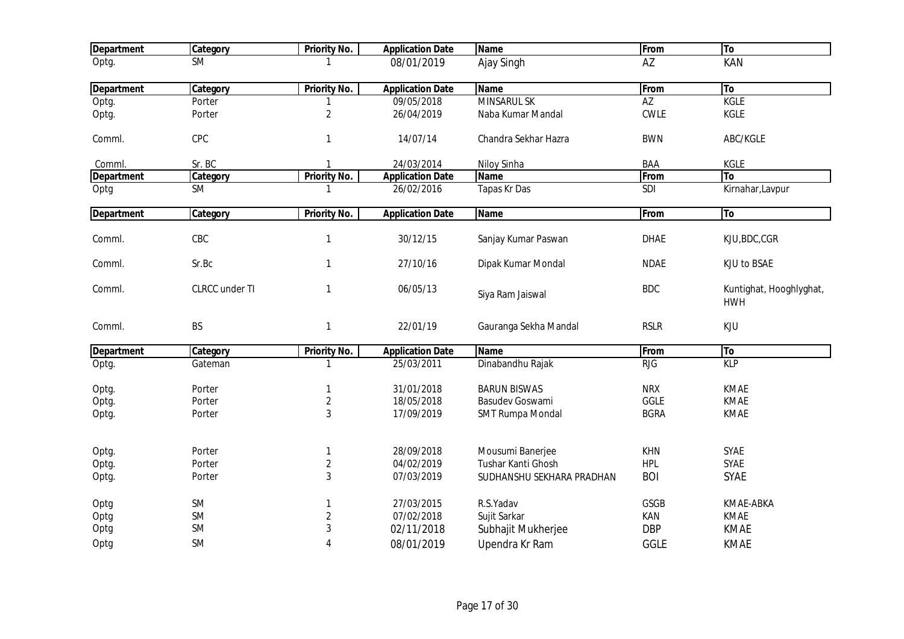| <b>Department</b> | <b>Category</b>        | <b>Priority No.</b> | <b>Application Date</b> | <b>Name</b>               | From        | To                                    |
|-------------------|------------------------|---------------------|-------------------------|---------------------------|-------------|---------------------------------------|
| Optg.             | $\overline{\text{SM}}$ |                     | 08/01/2019              | Ajay Singh                | AZ          | KAN                                   |
| <b>Department</b> | Category               | Priority No.        | <b>Application Date</b> | <b>Name</b>               | From        | To                                    |
| Optg.             | Porter                 |                     | 09/05/2018              | <b>MINSARUL SK</b>        | AZ          | <b>KGLE</b>                           |
| Optg.             | Porter                 | $\sqrt{2}$          | 26/04/2019              | Naba Kumar Mandal         | <b>CWLE</b> | KGLE                                  |
| Comml.            | CPC                    | $\mathbf{1}$        | 14/07/14                | Chandra Sekhar Hazra      | <b>BWN</b>  | ABC/KGLE                              |
| Comml.            | Sr. BC                 | $\mathbf{1}$        | 24/03/2014              | Niloy Sinha               | <b>BAA</b>  | KGLE                                  |
| <b>Department</b> | Category               | Priority No.        | <b>Application Date</b> | <b>Name</b>               | From        | To                                    |
| Optg              | <b>SM</b>              | 1                   | 26/02/2016              | <b>Tapas Kr Das</b>       | SDI         | Kirnahar, Lavpur                      |
| <b>Department</b> | Category               | <b>Priority No.</b> | <b>Application Date</b> | <b>Name</b>               | From        | To                                    |
| Comml.            | CBC                    | $\mathbf{1}$        | 30/12/15                | Sanjay Kumar Paswan       | <b>DHAE</b> | KJU, BDC, CGR                         |
| Comml.            | Sr.Bc                  | $\mathbf{1}$        | 27/10/16                | Dipak Kumar Mondal        | <b>NDAE</b> | KJU to BSAE                           |
| Comml.            | CLRCC under TI         | $\mathbf{1}$        | 06/05/13                | Siya Ram Jaiswal          | <b>BDC</b>  | Kuntighat, Hooghlyghat,<br><b>HWH</b> |
| Comml.            | <b>BS</b>              | $\mathbf{1}$        | 22/01/19                | Gauranga Sekha Mandal     | <b>RSLR</b> | KJU                                   |
| <b>Department</b> | Category               | <b>Priority No.</b> | <b>Application Date</b> | <b>Name</b>               | From        | To                                    |
| Optg.             | Gateman                | 1                   | 25/03/2011              | Dinabandhu Rajak          | <b>RJG</b>  | <b>KLP</b>                            |
| Optg.             | Porter                 | $\mathbf{1}$        | 31/01/2018              | <b>BARUN BISWAS</b>       | <b>NRX</b>  | <b>KMAE</b>                           |
| Optg.             | Porter                 | $\sqrt{2}$          | 18/05/2018              | <b>Basudev Goswami</b>    | <b>GGLE</b> | <b>KMAE</b>                           |
| Optg.             | Porter                 | 3                   | 17/09/2019              | <b>SMT Rumpa Mondal</b>   | <b>BGRA</b> | <b>KMAE</b>                           |
| Optg.             | Porter                 | 1                   | 28/09/2018              | Mousumi Banerjee          | <b>KHN</b>  | <b>SYAE</b>                           |
| Optg.             | Porter                 | $\sqrt{2}$          | 04/02/2019              | Tushar Kanti Ghosh        | <b>HPL</b>  | SYAE                                  |
| Optg.             | Porter                 | 3                   | 07/03/2019              | SUDHANSHU SEKHARA PRADHAN | <b>BOI</b>  | <b>SYAE</b>                           |
| Optg              | <b>SM</b>              | $\mathbf{1}$        | 27/03/2015              | R.S.Yadav                 | GSGB        | KMAE-ABKA                             |
| Optg              | <b>SM</b>              | $\overline{2}$      | 07/02/2018              | Sujit Sarkar              | KAN         | <b>KMAE</b>                           |
| Optg              | <b>SM</b>              | 3                   | 02/11/2018              | Subhajit Mukherjee        | <b>DBP</b>  | <b>KMAE</b>                           |
| Optg              | <b>SM</b>              | 4                   | 08/01/2019              | Upendra Kr Ram            | <b>GGLE</b> | <b>KMAE</b>                           |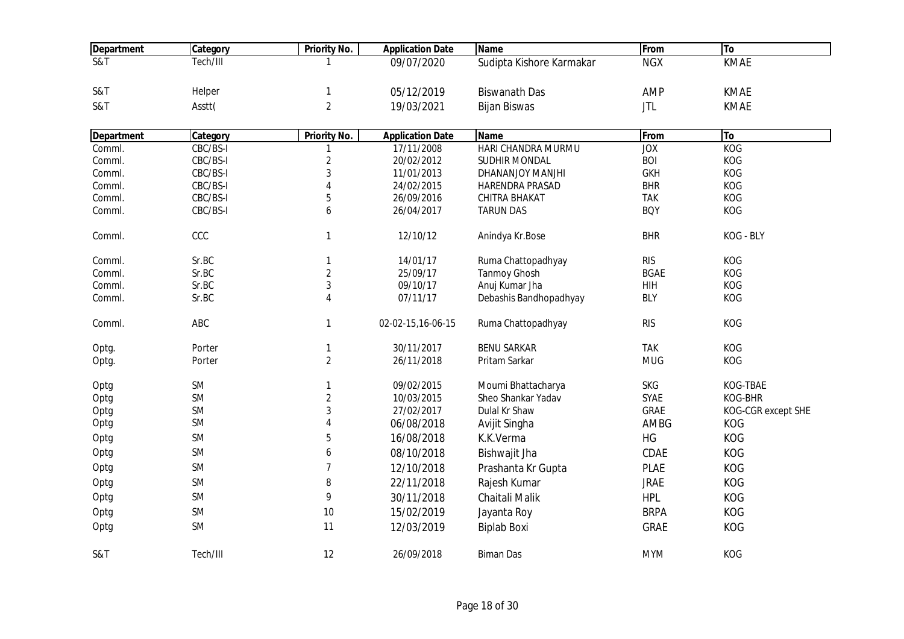| <b>Department</b>          | Category  | <b>Priority No.</b>     | <b>Application Date</b> | <b>Name</b>              | From        | To                 |
|----------------------------|-----------|-------------------------|-------------------------|--------------------------|-------------|--------------------|
| $\overline{\text{S&ampT}}$ | Tech/III  |                         | 09/07/2020              | Sudipta Kishore Karmakar | <b>NGX</b>  | <b>KMAE</b>        |
|                            |           |                         |                         |                          |             |                    |
| S&T                        | Helper    | $\mathbf{1}$            | 05/12/2019              | <b>Biswanath Das</b>     | AMP         | <b>KMAE</b>        |
| S&T                        | Asstt(    | $\overline{2}$          | 19/03/2021              | <b>Bijan Biswas</b>      | <b>JTL</b>  | <b>KMAE</b>        |
| Department                 | Category  | <b>Priority No.</b>     | <b>Application Date</b> | <b>Name</b>              | From        | To                 |
| Comml.                     | CBC/BS-I  |                         | 17/11/2008              | HARI CHANDRA MURMU       | JOX         | <b>KOG</b>         |
| Comml.                     | CBC/BS-I  | $\overline{2}$          | 20/02/2012              | <b>SUDHIR MONDAL</b>     | <b>BOI</b>  | KOG                |
| Comml.                     | CBC/BS-I  | $\mathbf{3}$            | 11/01/2013              | DHANANJOY MANJHI         | <b>GKH</b>  | KOG                |
| Comml.                     | CBC/BS-I  | $\overline{4}$          | 24/02/2015              | HARENDRA PRASAD          | <b>BHR</b>  | KOG                |
| Comml.                     | CBC/BS-I  | $\sqrt{5}$              | 26/09/2016              | CHITRA BHAKAT            | <b>TAK</b>  | KOG                |
| Comml.                     | CBC/BS-I  | 6                       | 26/04/2017              | <b>TARUN DAS</b>         | <b>BOY</b>  | KOG                |
| Comml.                     | CCC       | $\mathbf{1}$            | 12/10/12                | Anindya Kr.Bose          | <b>BHR</b>  | KOG - BLY          |
| Comml.                     | Sr.BC     | $\mathbf{1}$            | 14/01/17                | Ruma Chattopadhyay       | <b>RIS</b>  | KOG                |
| Comml.                     | Sr.BC     | $\overline{2}$          | 25/09/17                | <b>Tanmoy Ghosh</b>      | <b>BGAE</b> | KOG                |
| Comml.                     | Sr.BC     | $\mathfrak{Z}$          | 09/10/17                | Anuj Kumar Jha           | HIH         | KOG                |
| Comml.                     | Sr.BC     | $\overline{4}$          | 07/11/17                | Debashis Bandhopadhyay   | <b>BLY</b>  | KOG                |
| Comml.                     | ABC       | $\mathbf{1}$            | 02-02-15,16-06-15       | Ruma Chattopadhyay       | <b>RIS</b>  | KOG                |
| Optg.                      | Porter    | $\mathbf{1}$            | 30/11/2017              | <b>BENU SARKAR</b>       | <b>TAK</b>  | KOG                |
| Optg.                      | Porter    | $\overline{2}$          | 26/11/2018              | Pritam Sarkar            | <b>MUG</b>  | KOG                |
| Optg                       | SM        | $\mathbf{1}$            | 09/02/2015              | Moumi Bhattacharya       | <b>SKG</b>  | KOG-TBAE           |
| Optg                       | <b>SM</b> | $\overline{2}$          | 10/03/2015              | Sheo Shankar Yadav       | <b>SYAE</b> | KOG-BHR            |
| Optg                       | SM        | $\mathfrak{Z}$          | 27/02/2017              | Dulal Kr Shaw            | <b>GRAE</b> | KOG-CGR except SHE |
| Optg                       | SM        | $\overline{\mathbf{4}}$ | 06/08/2018              | Avijit Singha            | AMBG        | KOG                |
| Optg                       | SM        | 5                       | 16/08/2018              | K.K.Verma                | HG          | KOG                |
| Optg                       | <b>SM</b> | 6                       | 08/10/2018              | Bishwajit Jha            | CDAE        | KOG                |
| Optg                       | SM        | $\overline{7}$          | 12/10/2018              | Prashanta Kr Gupta       | <b>PLAE</b> | KOG                |
| Optg                       | <b>SM</b> | 8                       | 22/11/2018              | Rajesh Kumar             | <b>JRAE</b> | <b>KOG</b>         |
| Optg                       | SM        | 9                       | 30/11/2018              | Chaitali Malik           | <b>HPL</b>  | <b>KOG</b>         |
| Optg                       | SM        | 10                      | 15/02/2019              | Jayanta Roy              | <b>BRPA</b> | KOG                |
| Optg                       | SM        | 11                      | 12/03/2019              | <b>Biplab Boxi</b>       | <b>GRAE</b> | KOG                |
| S&T                        | Tech/III  | 12                      | 26/09/2018              | <b>Biman Das</b>         | <b>MYM</b>  | KOG                |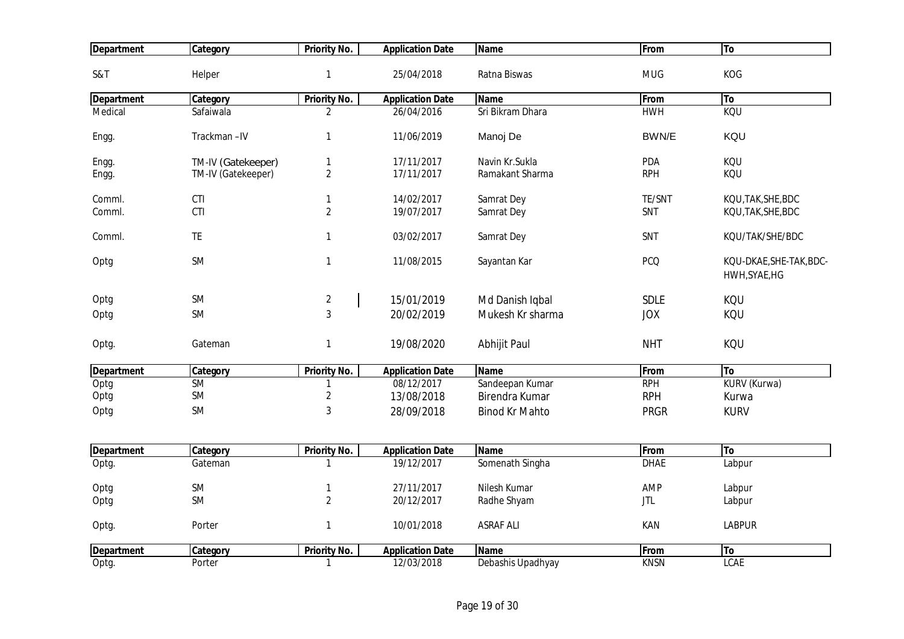| <b>Department</b> | Category           | <b>Priority No.</b> | <b>Application Date</b> | <b>Name</b>           | From        | To                                       |
|-------------------|--------------------|---------------------|-------------------------|-----------------------|-------------|------------------------------------------|
| S&T               | Helper             | $\mathbf{1}$        | 25/04/2018              | Ratna Biswas          | <b>MUG</b>  | KOG                                      |
| <b>Department</b> | Category           | <b>Priority No.</b> | <b>Application Date</b> | <b>Name</b>           | From        | To                                       |
| Medical           | Safaiwala          | $\overline{2}$      | 26/04/2016              | Sri Bikram Dhara      | <b>HWH</b>  | KQU                                      |
| Engg.             | Trackman-IV        | $\mathbf{1}$        | 11/06/2019              | Manoj De              | BWN/E       | KQU                                      |
| Engg.             | TM-IV (Gatekeeper) | $\mathbf{1}$        | 17/11/2017              | Navin Kr.Sukla        | PDA         | KQU                                      |
| Engg.             | TM-IV (Gatekeeper) | $\overline{2}$      | 17/11/2017              | Ramakant Sharma       | <b>RPH</b>  | KQU                                      |
|                   |                    |                     |                         |                       |             |                                          |
| Comml.            | CTI                | $\mathbf{1}$        | 14/02/2017              | Samrat Dey            | TE/SNT      | KQU, TAK, SHE, BDC                       |
| Comml.            | CTI                | $\overline{2}$      | 19/07/2017              | Samrat Dey            | SNT         | KQU, TAK, SHE, BDC                       |
| Comml.            | <b>TE</b>          | $\mathbf{1}$        | 03/02/2017              | Samrat Dey            | SNT         | KQU/TAK/SHE/BDC                          |
| Optg              | <b>SM</b>          | $\mathbf{1}$        | 11/08/2015              | Sayantan Kar          | <b>PCQ</b>  | KQU-DKAE, SHE-TAK, BDC-<br>HWH, SYAE, HG |
| Optg              | <b>SM</b>          | $\overline{2}$      | 15/01/2019              | Md Danish Iqbal       | <b>SDLE</b> | KQU                                      |
| Optg              | <b>SM</b>          | $\mathbf{3}$        | 20/02/2019              | Mukesh Kr sharma      | <b>JOX</b>  | KQU                                      |
| Optg.             | Gateman            | $\mathbf{1}$        | 19/08/2020              | Abhijit Paul          | <b>NHT</b>  | KQU                                      |
| <b>Department</b> | Category           | <b>Priority No.</b> | <b>Application Date</b> | <b>Name</b>           | From        | To                                       |
| Optg              | <b>SM</b>          | 1                   | 08/12/2017              | Sandeepan Kumar       | <b>RPH</b>  | KURV (Kurwa)                             |
| Optg              | SM                 | $\overline{2}$      | 13/08/2018              | Birendra Kumar        | <b>RPH</b>  | Kurwa                                    |
| Optg              | <b>SM</b>          | $\mathbf{3}$        | 28/09/2018              | <b>Binod Kr Mahto</b> | <b>PRGR</b> | <b>KURV</b>                              |
| <b>Department</b> | Category           | <b>Priority No.</b> | <b>Application Date</b> | <b>Name</b>           | From        | To                                       |
| Optg.             | Gateman            | $\mathbf{1}$        | 19/12/2017              | Somenath Singha       | <b>DHAE</b> | Labpur                                   |
| Optg              | <b>SM</b>          | $\mathbf{1}$        | 27/11/2017              | Nilesh Kumar          | AMP         | Labpur                                   |
| Optg              | <b>SM</b>          | $\overline{2}$      | 20/12/2017              | Radhe Shyam           | <b>JTL</b>  | Labpur                                   |
|                   |                    |                     |                         |                       |             |                                          |
| Optg.             | Porter             | $\mathbf{1}$        | 10/01/2018              | <b>ASRAF ALI</b>      | KAN         | <b>LABPUR</b>                            |
| <b>Department</b> | Category           | <b>Priority No.</b> | <b>Application Date</b> | <b>Name</b>           | From        | To                                       |
| Optg.             | Porter             | $\mathbf{1}$        | 12/03/2018              | Debashis Upadhyay     | <b>KNSN</b> | <b>LCAE</b>                              |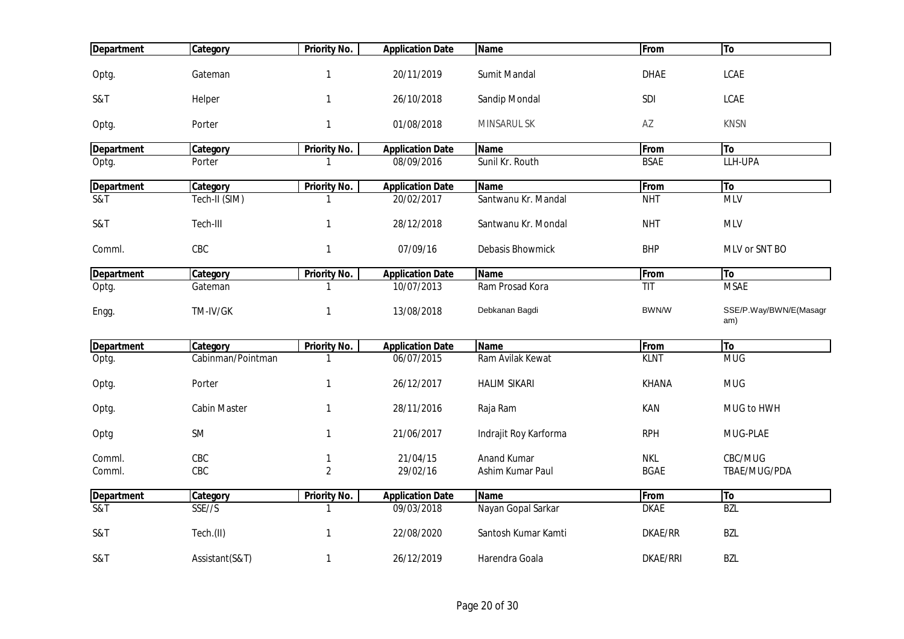| <b>Department</b>          | Category            | <b>Priority No.</b> | <b>Application Date</b> | <b>Name</b>           | From            | To                            |
|----------------------------|---------------------|---------------------|-------------------------|-----------------------|-----------------|-------------------------------|
| Optg.                      | Gateman             | $\mathbf{1}$        | 20/11/2019              | Sumit Mandal          | <b>DHAE</b>     | <b>LCAE</b>                   |
| S&T                        | Helper              | $\mathbf{1}$        | 26/10/2018              | Sandip Mondal         | SDI             | <b>LCAE</b>                   |
| Optg.                      | Porter              | $\mathbf{1}$        | 01/08/2018              | MINSARUL SK           | AZ              | <b>KNSN</b>                   |
| <b>Department</b>          | Category            | Priority No.        | <b>Application Date</b> | <b>Name</b>           | From            | <b>To</b>                     |
| Optg.                      | Porter              | 1                   | 08/09/2016              | Sunil Kr. Routh       | <b>BSAE</b>     | LLH-UPA                       |
| <b>Department</b>          | Category            | <b>Priority No.</b> | <b>Application Date</b> | <b>Name</b>           | From            | To                            |
| $\overline{\text{S&ampT}}$ | Tech-II (SIM)       | $\mathbf{1}$        | 20/02/2017              | Santwanu Kr. Mandal   | <b>NHT</b>      | <b>MLV</b>                    |
| S&T                        | Tech-III            | $\mathbf{1}$        | 28/12/2018              | Santwanu Kr. Mondal   | <b>NHT</b>      | <b>MLV</b>                    |
| Comml.                     | CBC                 | $\mathbf{1}$        | 07/09/16                | Debasis Bhowmick      | <b>BHP</b>      | MLV or SNT BO                 |
| <b>Department</b>          | Category            | <b>Priority No.</b> | <b>Application Date</b> | <b>Name</b>           | From            | <b>To</b>                     |
| Optg.                      | Gateman             | -1                  | 10/07/2013              | Ram Prosad Kora       | TIT             | <b>MSAE</b>                   |
| Engg.                      | TM-IV/GK            | $\mathbf{1}$        | 13/08/2018              | Debkanan Bagdi        | BWN/W           | SSE/P.Way/BWN/E(Masagr<br>am) |
| <b>Department</b>          | Category            | <b>Priority No.</b> | <b>Application Date</b> | <b>Name</b>           | From            | <b>To</b>                     |
| Optg.                      | Cabinman/Pointman   | $\mathbf{1}$        | 06/07/2015              | Ram Avilak Kewat      | <b>KLNT</b>     | <b>MUG</b>                    |
| Optg.                      | Porter              | $\mathbf{1}$        | 26/12/2017              | <b>HALIM SIKARI</b>   | <b>KHANA</b>    | <b>MUG</b>                    |
| Optg.                      | <b>Cabin Master</b> | $\mathbf{1}$        | 28/11/2016              | Raja Ram              | KAN             | MUG to HWH                    |
| Optg                       | <b>SM</b>           | $\mathbf{1}$        | 21/06/2017              | Indrajit Roy Karforma | <b>RPH</b>      | MUG-PLAE                      |
| Comml.                     | CBC                 | $\mathbf{1}$        | 21/04/15                | <b>Anand Kumar</b>    | <b>NKL</b>      | CBC/MUG                       |
| Comml.                     | CBC                 | $\overline{2}$      | 29/02/16                | Ashim Kumar Paul      | <b>BGAE</b>     | TBAE/MUG/PDA                  |
| <b>Department</b>          | Category            | <b>Priority No.</b> | <b>Application Date</b> | <b>Name</b>           | From            | To                            |
| <b>S&amp;T</b>             | SSE//S              | 1                   | 09/03/2018              | Nayan Gopal Sarkar    | <b>DKAE</b>     | <b>BZL</b>                    |
| S&T                        | Tech.(II)           | $\mathbf{1}$        | 22/08/2020              | Santosh Kumar Kamti   | DKAE/RR         | BZL                           |
| S&T                        | Assistant(S&T)      | $\mathbf{1}$        | 26/12/2019              | Harendra Goala        | <b>DKAE/RRI</b> | <b>BZL</b>                    |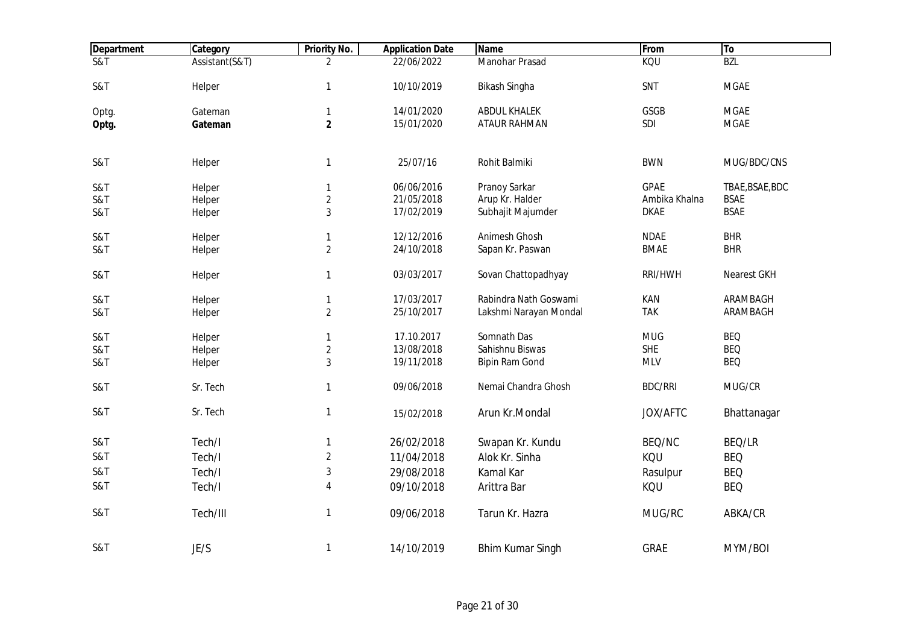| <b>Department</b>          | Category       | <b>Priority No.</b> | <b>Application Date</b> | <b>Name</b>             | From           | To              |
|----------------------------|----------------|---------------------|-------------------------|-------------------------|----------------|-----------------|
| $\overline{\text{S&ampT}}$ | Assistant(S&T) | 2                   | 22/06/2022              | <b>Manohar Prasad</b>   | KQU            | <b>BZL</b>      |
| S&T                        | Helper         | $\mathbf{1}$        | 10/10/2019              | Bikash Singha           | SNT            | <b>MGAE</b>     |
| Optg.                      | Gateman        | $\mathbf{1}$        | 14/01/2020              | <b>ABDUL KHALEK</b>     | GSGB           | <b>MGAE</b>     |
| Optg.                      | Gateman        | $\mathbf{2}$        | 15/01/2020              | <b>ATAUR RAHMAN</b>     | SDI            | <b>MGAE</b>     |
| S&T                        | Helper         | $\mathbf{1}$        | 25/07/16                | Rohit Balmiki           | <b>BWN</b>     | MUG/BDC/CNS     |
| S&T                        | Helper         | $\mathbf{1}$        | 06/06/2016              | Pranoy Sarkar           | <b>GPAE</b>    | TBAE, BSAE, BDC |
| S&T                        | Helper         | $\overline{2}$      | 21/05/2018              | Arup Kr. Halder         | Ambika Khalna  | <b>BSAE</b>     |
| S&T                        | Helper         | 3                   | 17/02/2019              | Subhajit Majumder       | <b>DKAE</b>    | <b>BSAE</b>     |
| S&T                        | Helper         | $\mathbf{1}$        | 12/12/2016              | Animesh Ghosh           | <b>NDAE</b>    | <b>BHR</b>      |
| S&T                        | Helper         | $\overline{2}$      | 24/10/2018              | Sapan Kr. Paswan        | <b>BMAE</b>    | <b>BHR</b>      |
| S&T                        | Helper         | $\mathbf{1}$        | 03/03/2017              | Sovan Chattopadhyay     | RRI/HWH        | Nearest GKH     |
| S&T                        | Helper         | $\mathbf{1}$        | 17/03/2017              | Rabindra Nath Goswami   | KAN            | ARAMBAGH        |
| S&T                        | Helper         | $\sqrt{2}$          | 25/10/2017              | Lakshmi Narayan Mondal  | <b>TAK</b>     | ARAMBAGH        |
| S&T                        | Helper         | $\mathbf{1}$        | 17.10.2017              | Somnath Das             | <b>MUG</b>     | <b>BEQ</b>      |
| S&T                        | Helper         | $\sqrt{2}$          | 13/08/2018              | Sahishnu Biswas         | <b>SHE</b>     | <b>BEQ</b>      |
| S&T                        | Helper         | $\sqrt{3}$          | 19/11/2018              | <b>Bipin Ram Gond</b>   | <b>MLV</b>     | <b>BEQ</b>      |
| S&T                        | Sr. Tech       | $\mathbf{1}$        | 09/06/2018              | Nemai Chandra Ghosh     | <b>BDC/RRI</b> | MUG/CR          |
| S&T                        | Sr. Tech       | $\mathbf{1}$        | 15/02/2018              | Arun Kr.Mondal          | JOX/AFTC       | Bhattanagar     |
| S&T                        | Tech/I         | $\mathbf{1}$        | 26/02/2018              | Swapan Kr. Kundu        | BEQ/NC         | BEQ/LR          |
| S&T                        | Tech/I         | $\overline{2}$      | 11/04/2018              | Alok Kr. Sinha          | KQU            | <b>BEQ</b>      |
| S&T                        | Tech/I         | $\sqrt{3}$          | 29/08/2018              | Kamal Kar               | Rasulpur       | <b>BEQ</b>      |
| S&T                        | Tech/I         | 4                   | 09/10/2018              | Arittra Bar             | KQU            | <b>BEQ</b>      |
| S&T                        | Tech/III       | $\mathbf{1}$        | 09/06/2018              | Tarun Kr. Hazra         | MUG/RC         | ABKA/CR         |
| S&T                        | JE/S           | $\mathbf{1}$        | 14/10/2019              | <b>Bhim Kumar Singh</b> | <b>GRAE</b>    | MYM/BOI         |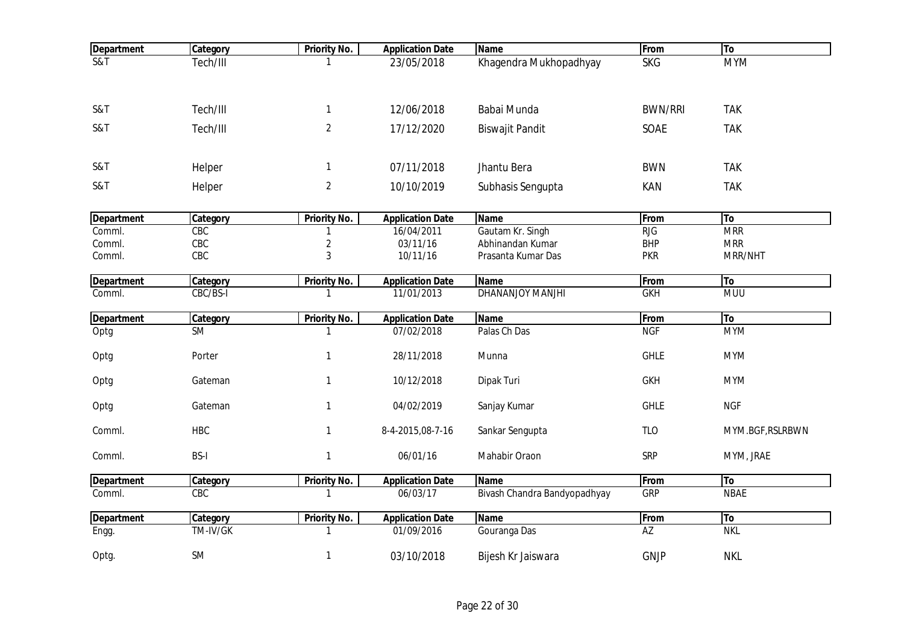| <b>Department</b> | Category    | <b>Priority No.</b> | <b>Application Date</b> | <b>Name</b>                  | From            | <b>To</b>        |
|-------------------|-------------|---------------------|-------------------------|------------------------------|-----------------|------------------|
| <b>S&amp;T</b>    | Tech/III    |                     | 23/05/2018              | Khagendra Mukhopadhyay       | <b>SKG</b>      | <b>MYM</b>       |
| S&T               | Tech/III    | $\mathbf{1}$        | 12/06/2018              | Babai Munda                  | <b>BWN/RRI</b>  | <b>TAK</b>       |
| S&T               | Tech/III    | $\overline{2}$      | 17/12/2020              | <b>Biswajit Pandit</b>       | SOAE            | <b>TAK</b>       |
| S&T               | Helper      | $\mathbf{1}$        | 07/11/2018              | Jhantu Bera                  | <b>BWN</b>      | <b>TAK</b>       |
| S&T               | Helper      | $\overline{2}$      | 10/10/2019              | Subhasis Sengupta            | KAN             | <b>TAK</b>       |
| <b>Department</b> | Category    | <b>Priority No.</b> | <b>Application Date</b> | <b>Name</b>                  | From            | To               |
| Comml.            | CBC         | 1                   | 16/04/2011              | Gautam Kr. Singh             | <b>RJG</b>      | <b>MRR</b>       |
| Comml.            | CBC         | $\overline{2}$      | 03/11/16                | Abhinandan Kumar             | <b>BHP</b>      | <b>MRR</b>       |
| Comml.            | CBC         | 3                   | 10/11/16                | Prasanta Kumar Das           | <b>PKR</b>      | MRR/NHT          |
| <b>Department</b> | Category    | <b>Priority No.</b> | <b>Application Date</b> | <b>Name</b>                  | From            | To               |
| Comml.            | CBC/BS-I    | $\mathbf{1}$        | 11/01/2013              | <b>DHANANJOY MANJHI</b>      | <b>GKH</b>      | <b>MUU</b>       |
| <b>Department</b> | Category    | <b>Priority No.</b> | <b>Application Date</b> | <b>Name</b>                  | From            | T <sub>o</sub>   |
| Optg              | <b>SM</b>   | 1                   | 07/02/2018              | Palas Ch Das                 | <b>NGF</b>      | <b>MYM</b>       |
| Optg              | Porter      | $\mathbf{1}$        | 28/11/2018              | Munna                        | <b>GHLE</b>     | <b>MYM</b>       |
| Optg              | Gateman     | $\mathbf{1}$        | 10/12/2018              | Dipak Turi                   | <b>GKH</b>      | <b>MYM</b>       |
| Optg              | Gateman     | $\mathbf{1}$        | 04/02/2019              | Sanjay Kumar                 | <b>GHLE</b>     | <b>NGF</b>       |
| Comml.            | <b>HBC</b>  | $\mathbf{1}$        | 8-4-2015,08-7-16        | Sankar Sengupta              | <b>TLO</b>      | MYM.BGF, RSLRBWN |
| Comml.            | <b>BS-I</b> | $\mathbf{1}$        | 06/01/16                | Mahabir Oraon                | <b>SRP</b>      | MYM, JRAE        |
| <b>Department</b> | Category    | <b>Priority No.</b> | <b>Application Date</b> | <b>Name</b>                  | From            | To               |
| Comml.            | CEC         | $\mathbf{1}$        | 06/03/17                | Bivash Chandra Bandyopadhyay | <b>GRP</b>      | <b>NBAE</b>      |
| <b>Department</b> | Category    | <b>Priority No.</b> | <b>Application Date</b> | <b>Name</b>                  | From            | To               |
| Engg.             | TM-IV/GK    | 1                   | 01/09/2016              | Gouranga Das                 | $\overline{AZ}$ | <b>NKL</b>       |
| Optg.             | <b>SM</b>   | $\mathbf{1}$        | 03/10/2018              | Bijesh Kr Jaiswara           | <b>GNJP</b>     | <b>NKL</b>       |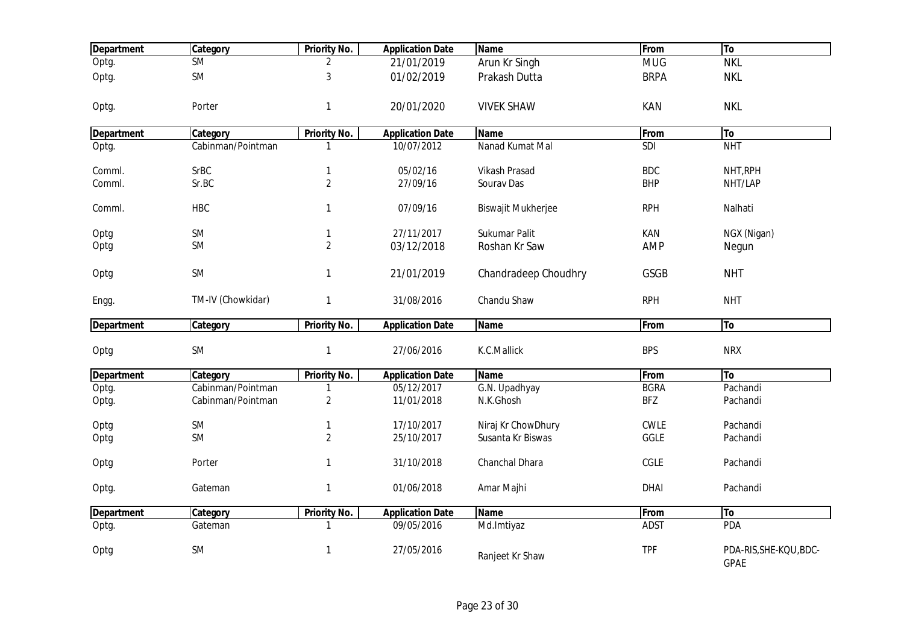| <b>Department</b> | Category               | <b>Priority No.</b> | <b>Application Date</b> | <b>Name</b>               | From        | To                                    |
|-------------------|------------------------|---------------------|-------------------------|---------------------------|-------------|---------------------------------------|
| Optg.             | $\overline{\text{SM}}$ | 2                   | 21/01/2019              | Arun Kr Singh             | <b>MUG</b>  | <b>NKL</b>                            |
| Optg.             | <b>SM</b>              | $\sqrt{3}$          | 01/02/2019              | Prakash Dutta             | <b>BRPA</b> | <b>NKL</b>                            |
| Optg.             | Porter                 | $\mathbf{1}$        | 20/01/2020              | <b>VIVEK SHAW</b>         | <b>KAN</b>  | <b>NKL</b>                            |
| <b>Department</b> | Category               | Priority No.        | <b>Application Date</b> | <b>Name</b>               | From        | To                                    |
| Optg.             | Cabinman/Pointman      |                     | 10/07/2012              | Nanad Kumat Mal           | SDI         | <b>NHT</b>                            |
| Comml.            | <b>SrBC</b>            | $\mathbf{1}$        | 05/02/16                | <b>Vikash Prasad</b>      | <b>BDC</b>  | NHT, RPH                              |
| Comml.            | Sr.BC                  | $\overline{2}$      | 27/09/16                | Sourav Das                | <b>BHP</b>  | NHT/LAP                               |
| Comml.            | <b>HBC</b>             | $\mathbf{1}$        | 07/09/16                | <b>Biswajit Mukherjee</b> | <b>RPH</b>  | Nalhati                               |
| Optg              | <b>SM</b>              | $\mathbf{1}$        | 27/11/2017              | Sukumar Palit             | KAN         | NGX (Nigan)                           |
| Optg              | <b>SM</b>              | $\overline{2}$      | 03/12/2018              | Roshan Kr Saw             | <b>AMP</b>  | Negun                                 |
| Optg              | <b>SM</b>              | $\mathbf{1}$        | 21/01/2019              | Chandradeep Choudhry      | <b>GSGB</b> | <b>NHT</b>                            |
| Engg.             | TM-IV (Chowkidar)      | $\mathbf{1}$        | 31/08/2016              | Chandu Shaw               | <b>RPH</b>  | <b>NHT</b>                            |
| <b>Department</b> | Category               | <b>Priority No.</b> | <b>Application Date</b> | <b>Name</b>               | From        | To                                    |
| Optg              | <b>SM</b>              | $\mathbf{1}$        | 27/06/2016              | K.C.Mallick               | <b>BPS</b>  | <b>NRX</b>                            |
| <b>Department</b> | Category               | Priority No.        | <b>Application Date</b> | <b>Name</b>               | From        | To                                    |
| Optg.             | Cabinman/Pointman      |                     | 05/12/2017              | G.N. Upadhyay             | <b>BGRA</b> | Pachandi                              |
| Optg.             | Cabinman/Pointman      | $\sqrt{2}$          | 11/01/2018              | N.K.Ghosh                 | <b>BFZ</b>  | Pachandi                              |
| Optg              | <b>SM</b>              | $\mathbf{1}$        | 17/10/2017              | Niraj Kr ChowDhury        | <b>CWLE</b> | Pachandi                              |
| Optg              | <b>SM</b>              | $\overline{2}$      | 25/10/2017              | Susanta Kr Biswas         | GGLE        | Pachandi                              |
| Optg              | Porter                 | $\mathbf{1}$        | 31/10/2018              | Chanchal Dhara            | CGLE        | Pachandi                              |
| Optg.             | Gateman                | $\mathbf{1}$        | 01/06/2018              | Amar Majhi                | <b>DHAI</b> | Pachandi                              |
| <b>Department</b> | Category               | <b>Priority No.</b> | <b>Application Date</b> | <b>Name</b>               | From        | To                                    |
| Optg.             | Gateman                | $\mathbf{1}$        | 09/05/2016              | Md.Imtiyaz                | <b>ADST</b> | PDA                                   |
| Optg              | <b>SM</b>              | $\mathbf{1}$        | 27/05/2016              | Ranjeet Kr Shaw           | <b>TPF</b>  | PDA-RIS, SHE-KQU, BDC-<br><b>GPAE</b> |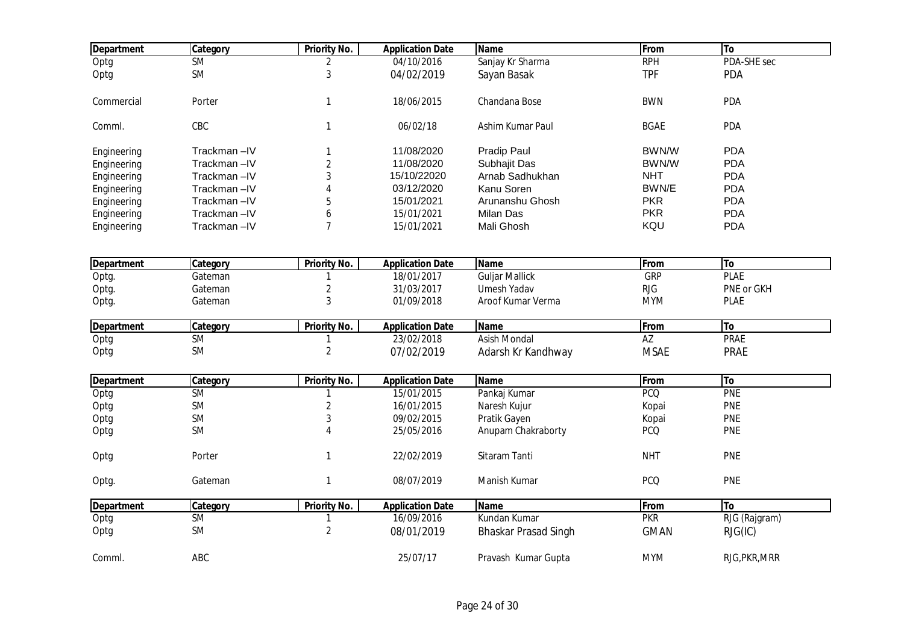| <b>Department</b> | Category               | <b>Priority No.</b> | <b>Application Date</b> | <b>Name</b>                 | From            | To            |  |
|-------------------|------------------------|---------------------|-------------------------|-----------------------------|-----------------|---------------|--|
| Optg              | $\overline{\text{SM}}$ | 2                   | 04/10/2016              | Sanjay Kr Sharma            | <b>RPH</b>      | PDA-SHE sec   |  |
| Optg              | <b>SM</b>              | 3                   | 04/02/2019              | Sayan Basak                 | <b>TPF</b>      | <b>PDA</b>    |  |
| Commercial        | Porter                 | $\mathbf{1}$        | 18/06/2015              | Chandana Bose               | <b>BWN</b>      | PDA           |  |
| Comml.            | CBC                    | $\mathbf{1}$        | 06/02/18                | Ashim Kumar Paul            | <b>BGAE</b>     | PDA           |  |
| Engineering       | Trackman-IV            | 1                   | 11/08/2020              | Pradip Paul                 | BWN/W           | <b>PDA</b>    |  |
| Engineering       | Trackman-IV            | $\overline{2}$      | 11/08/2020              | Subhajit Das                | BWN/W           | <b>PDA</b>    |  |
| Engineering       | Trackman-IV            | 3                   | 15/10/22020             | Arnab Sadhukhan             | <b>NHT</b>      | <b>PDA</b>    |  |
| Engineering       | Trackman-IV            | 4                   | 03/12/2020              | Kanu Soren                  | BWN/E           | <b>PDA</b>    |  |
| Engineering       | Trackman-IV            | 5                   | 15/01/2021              | Arunanshu Ghosh             | <b>PKR</b>      | <b>PDA</b>    |  |
| Engineering       | Trackman-IV            | 6                   | 15/01/2021              | <b>Milan Das</b>            | <b>PKR</b>      | <b>PDA</b>    |  |
| Engineering       | Trackman-IV            | $\overline{7}$      | 15/01/2021              | Mali Ghosh                  | KQU             | <b>PDA</b>    |  |
| <b>Department</b> | Category               | Priority No.        | <b>Application Date</b> | <b>Name</b>                 | From            | To            |  |
| Optg.             | Gateman                | $\mathbf{1}$        | 18/01/2017              | <b>Guljar Mallick</b>       | <b>GRP</b>      | <b>PLAE</b>   |  |
| Optg.             | Gateman                | $\overline{2}$      | 31/03/2017              | Umesh Yadav                 | <b>RJG</b>      | PNE or GKH    |  |
| Optg.             | Gateman                | 3                   | 01/09/2018              | Aroof Kumar Verma           | <b>MYM</b>      | <b>PLAE</b>   |  |
|                   |                        |                     |                         |                             |                 |               |  |
| <b>Department</b> | Category               | Priority No.        | <b>Application Date</b> | <b>Name</b>                 | From            | To            |  |
| Optg              | <b>SM</b>              | 1                   | 23/02/2018              | <b>Asish Mondal</b>         | $\overline{AZ}$ | <b>PRAE</b>   |  |
| Optg              | <b>SM</b>              | $\overline{2}$      | 07/02/2019              | Adarsh Kr Kandhway          | <b>MSAE</b>     | PRAE          |  |
|                   |                        |                     |                         |                             |                 |               |  |
| <b>Department</b> | Category               | <b>Priority No.</b> | <b>Application Date</b> | <b>Name</b>                 | From            | <b>To</b>     |  |
| Optg              | <b>SM</b>              |                     | 15/01/2015              | Pankaj Kumar                | <b>PCQ</b>      | PNE           |  |
| Optg              | SM                     | $\overline{2}$      | 16/01/2015              | Naresh Kujur                | Kopai           | <b>PNE</b>    |  |
| Optg              | <b>SM</b>              | 3                   | 09/02/2015              | Pratik Gayen                | Kopai           | <b>PNE</b>    |  |
| Optg              | <b>SM</b>              | 4                   | 25/05/2016              | Anupam Chakraborty          | <b>PCQ</b>      | <b>PNE</b>    |  |
| Optg              | Porter                 | $\mathbf{1}$        | 22/02/2019              | Sitaram Tanti               | <b>NHT</b>      | <b>PNE</b>    |  |
| Optg.             | Gateman                | $\mathbf{1}$        | 08/07/2019              | Manish Kumar                | <b>PCQ</b>      | PNE           |  |
| Department        | Category               | <b>Priority No.</b> | <b>Application Date</b> | <b>Name</b>                 | From            | <b>To</b>     |  |
| Optg              | <b>SM</b>              | 1                   | 16/09/2016              | Kundan Kumar                | <b>PKR</b>      | RJG (Rajgram) |  |
| Optg              | <b>SM</b>              | $\overline{2}$      | 08/01/2019              | <b>Bhaskar Prasad Singh</b> | <b>GMAN</b>     | RJG(IC)       |  |
| Comml.            | ABC                    |                     | 25/07/17                | Pravash Kumar Gupta         | <b>MYM</b>      | RJG, PKR, MRR |  |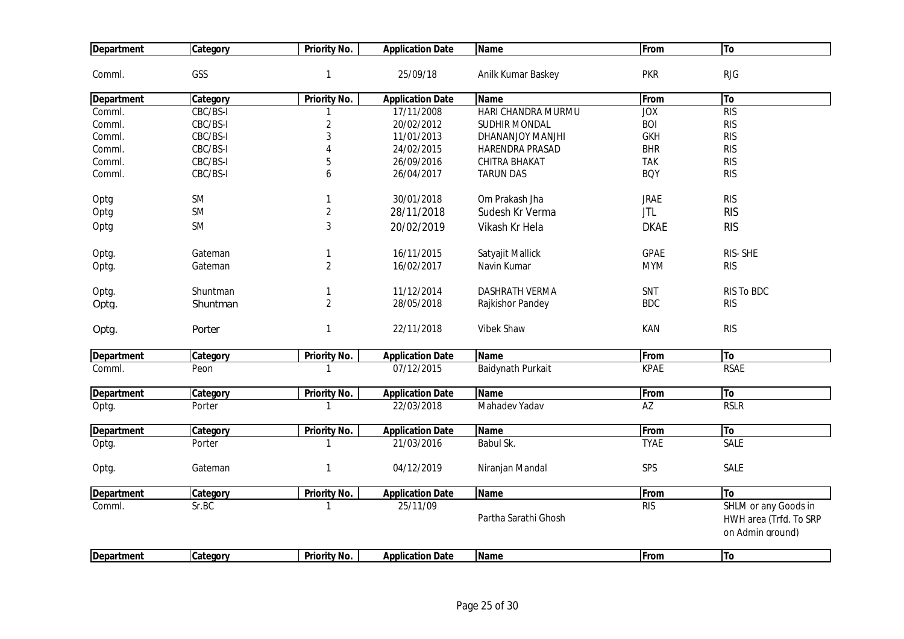| <b>Department</b> | Category  | <b>Priority No.</b> | <b>Application Date</b> | <b>Name</b>           | From        | To                                                                 |
|-------------------|-----------|---------------------|-------------------------|-----------------------|-------------|--------------------------------------------------------------------|
| Comml.            | GSS       | $\mathbf{1}$        | 25/09/18                | Anilk Kumar Baskey    | <b>PKR</b>  | <b>RJG</b>                                                         |
| <b>Department</b> | Category  | <b>Priority No.</b> | <b>Application Date</b> | <b>Name</b>           | From        | To                                                                 |
| Comml.            | CBC/BS-I  |                     | 17/11/2008              | HARI CHANDRA MURMU    | JOX         | RIS                                                                |
| Comml.            | CBC/BS-I  | $\overline{2}$      | 20/02/2012              | <b>SUDHIR MONDAL</b>  | <b>BOI</b>  | <b>RIS</b>                                                         |
| Comml.            | CBC/BS-I  | 3                   | 11/01/2013              | DHANANJOY MANJHI      | <b>GKH</b>  | <b>RIS</b>                                                         |
| Comml.            | CBC/BS-I  | $\overline{4}$      | 24/02/2015              | HARENDRA PRASAD       | <b>BHR</b>  | <b>RIS</b>                                                         |
| Comml.            | CBC/BS-I  | 5                   | 26/09/2016              | CHITRA BHAKAT         | <b>TAK</b>  | <b>RIS</b>                                                         |
| Comml.            | CBC/BS-I  | 6                   | 26/04/2017              | <b>TARUN DAS</b>      | <b>BQY</b>  | <b>RIS</b>                                                         |
| Optg              | <b>SM</b> | $\mathbf{1}$        | 30/01/2018              | Om Prakash Jha        | <b>JRAE</b> | <b>RIS</b>                                                         |
| Optg              | <b>SM</b> | $\overline{2}$      | 28/11/2018              | Sudesh Kr Verma       | <b>JTL</b>  | <b>RIS</b>                                                         |
| Optg              | <b>SM</b> | $\sqrt{3}$          | 20/02/2019              | Vikash Kr Hela        | <b>DKAE</b> | <b>RIS</b>                                                         |
| Optg.             | Gateman   | 1                   | 16/11/2015              | Satyajit Mallick      | <b>GPAE</b> | RIS-SHE                                                            |
| Optg.             | Gateman   | $\overline{2}$      | 16/02/2017              | Navin Kumar           | <b>MYM</b>  | <b>RIS</b>                                                         |
| Optg.             | Shuntman  | 1                   | 11/12/2014              | <b>DASHRATH VERMA</b> | SNT         | RIS To BDC                                                         |
| Optg.             | Shuntman  | $\overline{2}$      | 28/05/2018              | Rajkishor Pandey      | <b>BDC</b>  | <b>RIS</b>                                                         |
| Optg.             | Porter    | $\mathbf{1}$        | 22/11/2018              | Vibek Shaw            | KAN         | <b>RIS</b>                                                         |
| <b>Department</b> | Category  | <b>Priority No.</b> | <b>Application Date</b> | <b>Name</b>           | From        | To                                                                 |
| Comml.            | Peon      |                     | 07/12/2015              | Baidynath Purkait     | <b>KPAE</b> | <b>RSAE</b>                                                        |
| <b>Department</b> | Category  | Priority No.        | <b>Application Date</b> | <b>Name</b>           | From        | To                                                                 |
| Optg.             | Porter    | $\mathbf 1$         | 22/03/2018              | Mahadev Yadav         | AZ          | <b>RSLR</b>                                                        |
| <b>Department</b> | Category  | Priority No.        | <b>Application Date</b> | Name                  | From        | To                                                                 |
| Optg.             | Porter    | 1                   | 21/03/2016              | Babul Sk.             | <b>TYAE</b> | <b>SALE</b>                                                        |
| Optg.             | Gateman   | $\mathbf{1}$        | 04/12/2019              | Niranjan Mandal       | SPS         | <b>SALE</b>                                                        |
| <b>Department</b> | Category  | <b>Priority No.</b> | <b>Application Date</b> | <b>Name</b>           | From        | To                                                                 |
| Comml.            | Sr.BC     |                     | 25/11/09                | Partha Sarathi Ghosh  | RIS         | SHLM or any Goods in<br>HWH area (Trfd. To SRP<br>on Admin ground) |
| <b>Department</b> | Category  | Priority No.        | <b>Application Date</b> | <b>Name</b>           | From        | <b>To</b>                                                          |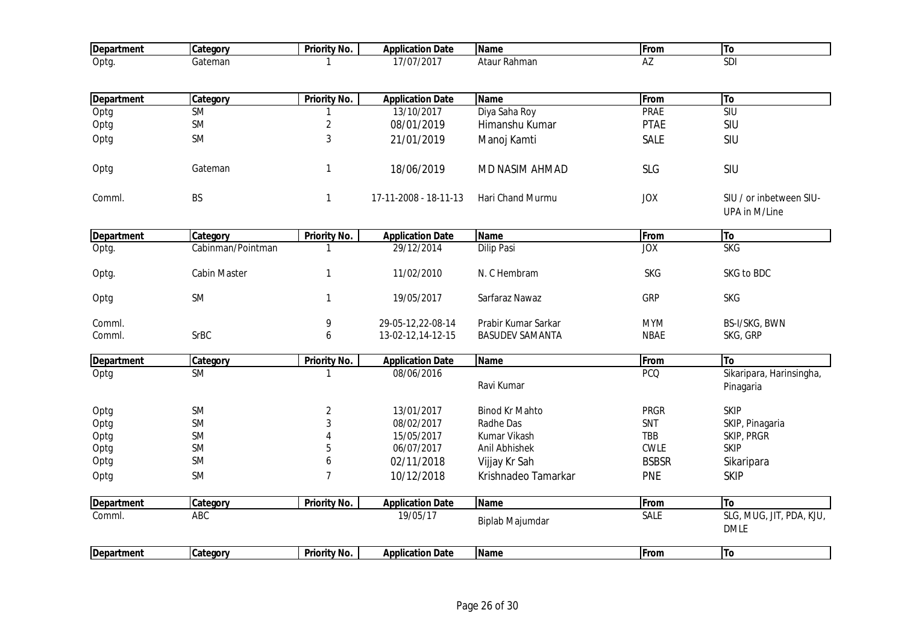| <b>Department</b> | Category          | <b>Priority No.</b> | <b>Application Date</b> | <b>Name</b>            | From         | To                                       |
|-------------------|-------------------|---------------------|-------------------------|------------------------|--------------|------------------------------------------|
| Optg.             | Gateman           |                     | 17/07/2017              | Ataur Rahman           | AZ           | SDI                                      |
|                   |                   |                     |                         |                        |              |                                          |
| <b>Department</b> | Category          | <b>Priority No.</b> | <b>Application Date</b> | <b>Name</b>            | From         | To                                       |
| Optg              | <b>SM</b>         | 1                   | 13/10/2017              | Diya Saha Roy          | <b>PRAE</b>  | S <sub>1</sub>                           |
| Optg              | <b>SM</b>         | $\overline{2}$      | 08/01/2019              | Himanshu Kumar         | <b>PTAE</b>  | SIU                                      |
| Optg              | <b>SM</b>         | $\sqrt{3}$          | 21/01/2019              | Manoj Kamti            | <b>SALE</b>  | SIU                                      |
| Optg              | Gateman           | $\mathbf{1}$        | 18/06/2019              | MD NASIM AHMAD         | <b>SLG</b>   | SIU                                      |
| Comml.            | <b>BS</b>         | $\mathbf{1}$        | 17-11-2008 - 18-11-13   | Hari Chand Murmu       | <b>JOX</b>   | SIU / or inbetween SIU-<br>UPA in M/Line |
| <b>Department</b> | Category          | Priority No.        | <b>Application Date</b> | <b>Name</b>            | From         | To                                       |
| Optg.             | Cabinman/Pointman | $\mathbf{1}$        | 29/12/2014              | <b>Dilip Pasi</b>      | <b>JOX</b>   | <b>SKG</b>                               |
| Optg.             | Cabin Master      | $\mathbf{1}$        | 11/02/2010              | N. C Hembram           | <b>SKG</b>   | SKG to BDC                               |
| Optg              | SM                | $\mathbf{1}$        | 19/05/2017              | Sarfaraz Nawaz         | GRP          | <b>SKG</b>                               |
| Comml.            |                   | 9                   | 29-05-12,22-08-14       | Prabir Kumar Sarkar    | <b>MYM</b>   | BS-I/SKG, BWN                            |
| Comml.            | <b>SrBC</b>       | 6                   | 13-02-12,14-12-15       | <b>BASUDEV SAMANTA</b> | <b>NBAE</b>  | SKG, GRP                                 |
| <b>Department</b> | Category          | Priority No.        | <b>Application Date</b> | <b>Name</b>            | From         | <b>To</b>                                |
| Optg              | <b>SM</b>         | $\mathbf{1}$        | 08/06/2016              | Ravi Kumar             | <b>PCQ</b>   | Sikaripara, Harinsingha,<br>Pinagaria    |
| Optg              | <b>SM</b>         | $\overline{2}$      | 13/01/2017              | <b>Binod Kr Mahto</b>  | <b>PRGR</b>  | <b>SKIP</b>                              |
| Optg              | <b>SM</b>         | $\mathbf{3}$        | 08/02/2017              | Radhe Das              | SNT          | SKIP, Pinagaria                          |
| Optg              | <b>SM</b>         | 4                   | 15/05/2017              | Kumar Vikash           | TBB          | SKIP, PRGR                               |
| Optg              | <b>SM</b>         | 5                   | 06/07/2017              | Anil Abhishek          | <b>CWLE</b>  | <b>SKIP</b>                              |
| Optg              | <b>SM</b>         | 6                   | 02/11/2018              | Vijjay Kr Sah          | <b>BSBSR</b> | Sikaripara                               |
| Optg              | SM                | $\overline{7}$      | 10/12/2018              | Krishnadeo Tamarkar    | <b>PNE</b>   | <b>SKIP</b>                              |
| <b>Department</b> | Category          | <b>Priority No.</b> | <b>Application Date</b> | <b>Name</b>            | From         | <b>To</b>                                |
| Comml.            | ABC               |                     | 19/05/17                | Biplab Majumdar        | <b>SALE</b>  | SLG, MUG, JIT, PDA, KJU,<br><b>DMLE</b>  |
| <b>Department</b> | Category          | <b>Priority No.</b> | <b>Application Date</b> | <b>Name</b>            | From         | <b>To</b>                                |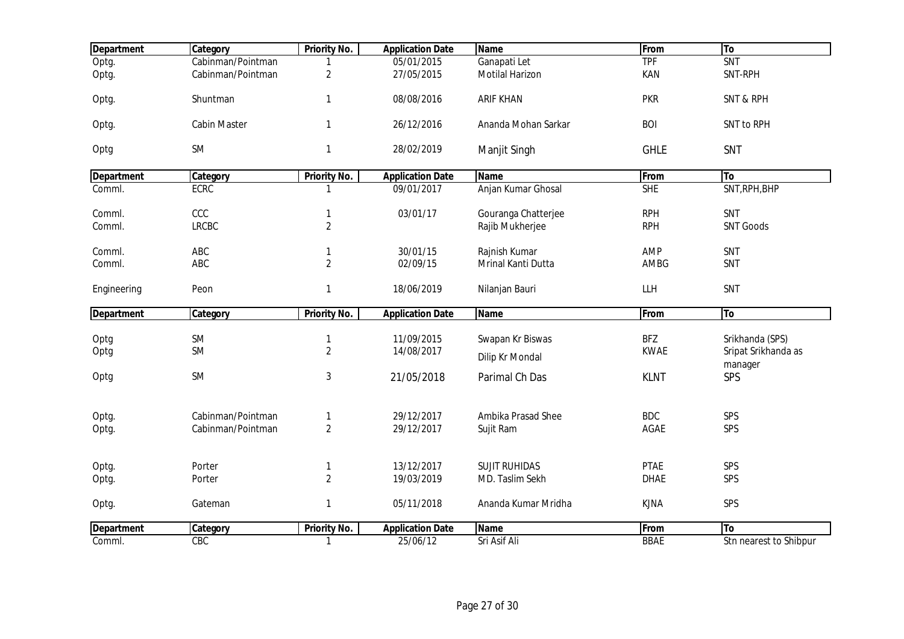| <b>Department</b> | Category            | <b>Priority No.</b>        | <b>Application Date</b> | <b>Name</b>          | From        | To                     |
|-------------------|---------------------|----------------------------|-------------------------|----------------------|-------------|------------------------|
| Optg.             | Cabinman/Pointman   |                            | 05/01/2015              | Ganapati Let         | <b>TPF</b>  | SNT                    |
| Optg.             | Cabinman/Pointman   | $\overline{2}$             | 27/05/2015              | Motilal Harizon      | KAN         | SNT-RPH                |
| Optg.             | Shuntman            | $\mathbf{1}$               | 08/08/2016              | <b>ARIF KHAN</b>     | <b>PKR</b>  | <b>SNT &amp; RPH</b>   |
| Optg.             | <b>Cabin Master</b> | $\mathbf{1}$               | 26/12/2016              | Ananda Mohan Sarkar  | <b>BOI</b>  | SNT to RPH             |
| Optg              | <b>SM</b>           | $\mathbf{1}$               | 28/02/2019              | Manjit Singh         | <b>GHLE</b> | SNT                    |
| <b>Department</b> | Category            | <b>Priority No.</b>        | <b>Application Date</b> | <b>Name</b>          | From        | To                     |
| Comml.            | <b>ECRC</b>         | 1                          | 09/01/2017              | Anjan Kumar Ghosal   | <b>SHE</b>  | SNT, RPH, BHP          |
| Comml.            | CCC                 | $\mathbf{1}$               | 03/01/17                | Gouranga Chatterjee  | <b>RPH</b>  | SNT                    |
| Comml.            | <b>LRCBC</b>        | $\sqrt{2}$                 |                         | Rajib Mukherjee      | <b>RPH</b>  | <b>SNT Goods</b>       |
| Comml.            | ABC                 |                            | 30/01/15                | Rajnish Kumar        | AMP         | SNT                    |
| Comml.            | ABC                 | 1<br>$\overline{2}$        | 02/09/15                | Mrinal Kanti Dutta   | AMBG        | SNT                    |
|                   |                     |                            |                         |                      |             |                        |
| Engineering       | Peon                | $\mathbf{1}$               | 18/06/2019              | Nilanjan Bauri       | LLH         | SNT                    |
| <b>Department</b> | Category            | <b>Priority No.</b>        | <b>Application Date</b> | <b>Name</b>          | From        | To                     |
|                   | <b>SM</b>           |                            | 11/09/2015              | Swapan Kr Biswas     | <b>BFZ</b>  | Srikhanda (SPS)        |
| Optg<br>Optg      | <b>SM</b>           | $\mathbf{1}$<br>$\sqrt{2}$ | 14/08/2017              |                      | <b>KWAE</b> | Sripat Srikhanda as    |
|                   |                     |                            |                         | Dilip Kr Mondal      |             | manager                |
| Optg              | <b>SM</b>           | $\sqrt{3}$                 | 21/05/2018              | Parimal Ch Das       | <b>KLNT</b> | SPS                    |
|                   |                     |                            |                         |                      |             |                        |
| Optg.             | Cabinman/Pointman   | 1                          | 29/12/2017              | Ambika Prasad Shee   | <b>BDC</b>  | SPS                    |
| Optg.             | Cabinman/Pointman   | $\sqrt{2}$                 | 29/12/2017              | Sujit Ram            | AGAE        | SPS                    |
| Optg.             | Porter              | $\mathbf{1}$               | 13/12/2017              | <b>SUJIT RUHIDAS</b> | <b>PTAE</b> | SPS                    |
| Optg.             | Porter              | $\overline{2}$             | 19/03/2019              | MD. Taslim Sekh      | <b>DHAE</b> | SPS                    |
|                   |                     |                            |                         |                      |             |                        |
| Optg.             | Gateman             | $\mathbf{1}$               | 05/11/2018              | Ananda Kumar Mridha  | <b>KJNA</b> | SPS                    |
| <b>Department</b> | Category            | <b>Priority No.</b>        | <b>Application Date</b> | <b>Name</b>          | From        | To                     |
| Comml.            | CBC                 | $\mathbf{1}$               | 25/06/12                | Sri Asif Ali         | <b>BBAE</b> | Stn nearest to Shibpur |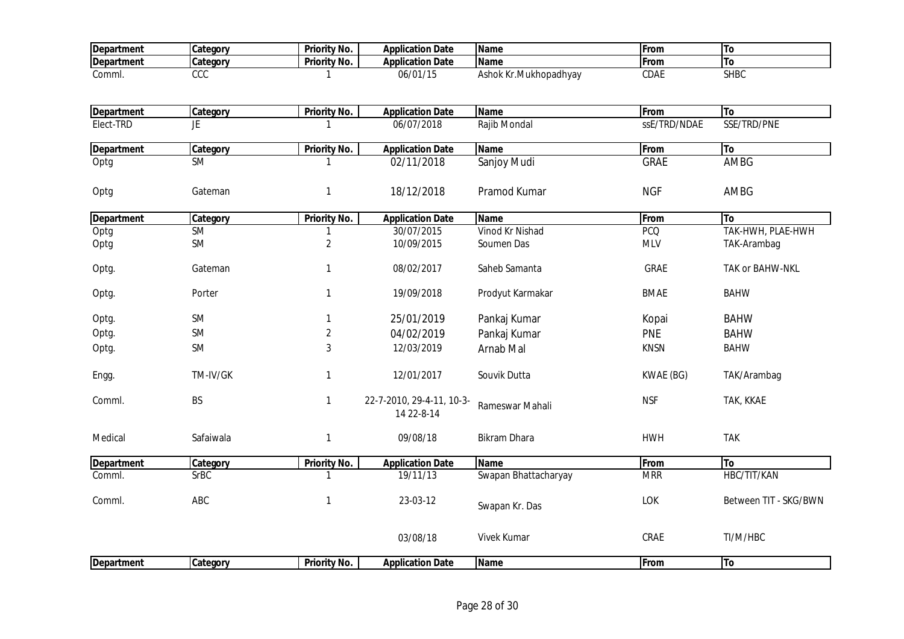| <b>Department</b> | Category    | Priority No.        | <b>Application Date</b>                 | <b>Name</b>           | From         | To                    |
|-------------------|-------------|---------------------|-----------------------------------------|-----------------------|--------------|-----------------------|
| <b>Department</b> | Category    | Priority No.        | <b>Application Date</b>                 | <b>Name</b>           | From         | <b>To</b>             |
| Comml.            | CCC         | -1                  | 06/01/15                                | Ashok Kr.Mukhopadhyay | <b>CDAE</b>  | <b>SHBC</b>           |
|                   |             |                     |                                         |                       |              |                       |
| <b>Department</b> | Category    | <b>Priority No.</b> | <b>Application Date</b>                 | <b>Name</b>           | From         | To                    |
| Elect-TRD         | JE          | $\mathbf{1}$        | 06/07/2018                              | Rajib Mondal          | ssE/TRD/NDAE | SSE/TRD/PNE           |
| <b>Department</b> | Category    | <b>Priority No.</b> | <b>Application Date</b>                 | <b>Name</b>           | From         | To                    |
| Optg              | <b>SM</b>   | $\mathbf 1$         | 02/11/2018                              | Sanjoy Mudi           | <b>GRAE</b>  | <b>AMBG</b>           |
| Optg              | Gateman     | $\mathbf{1}$        | 18/12/2018                              | Pramod Kumar          | <b>NGF</b>   | AMBG                  |
| <b>Department</b> | Category    | Priority No.        | <b>Application Date</b>                 | Name                  | From         | To                    |
| Optg              | <b>SM</b>   | $\mathbf{1}$        | 30/07/2015                              | Vinod Kr Nishad       | <b>PCQ</b>   | TAK-HWH, PLAE-HWH     |
| Optg              | SM          | $\overline{2}$      | 10/09/2015                              | Soumen Das            | <b>MLV</b>   | TAK-Arambag           |
| Optg.             | Gateman     | $\mathbf{1}$        | 08/02/2017                              | Saheb Samanta         | <b>GRAE</b>  | TAK or BAHW-NKL       |
| Optg.             | Porter      | $\mathbf{1}$        | 19/09/2018                              | Prodyut Karmakar      | <b>BMAE</b>  | <b>BAHW</b>           |
| Optg.             | SM          | $\mathbf{1}$        | 25/01/2019                              | Pankaj Kumar          | Kopai        | <b>BAHW</b>           |
| Optg.             | <b>SM</b>   | $\overline{2}$      | 04/02/2019                              | Pankaj Kumar          | <b>PNE</b>   | <b>BAHW</b>           |
| Optg.             | <b>SM</b>   | 3                   | 12/03/2019                              | Arnab Mal             | <b>KNSN</b>  | <b>BAHW</b>           |
| Engg.             | TM-IV/GK    | $\mathbf{1}$        | 12/01/2017                              | Souvik Dutta          | KWAE (BG)    | TAK/Arambag           |
| Comml.            | BS          | $\mathbf{1}$        | 22-7-2010, 29-4-11, 10-3-<br>14 22-8-14 | Rameswar Mahali       | <b>NSF</b>   | TAK, KKAE             |
| Medical           | Safaiwala   | $\mathbf{1}$        | 09/08/18                                | <b>Bikram Dhara</b>   | <b>HWH</b>   | <b>TAK</b>            |
| <b>Department</b> | Category    | <b>Priority No.</b> | <b>Application Date</b>                 | <b>Name</b>           | From         | To                    |
| Comml.            | <b>SrBC</b> | $\mathbf{1}$        | 19/11/13                                | Swapan Bhattacharyay  | <b>MRR</b>   | HBC/TIT/KAN           |
| Comml.            | ABC         | $\mathbf{1}$        | 23-03-12                                | Swapan Kr. Das        | LOK          | Between TIT - SKG/BWN |
|                   |             |                     | 03/08/18                                | <b>Vivek Kumar</b>    | CRAE         | TI/M/HBC              |
| Department        | Category    | <b>Priority No.</b> | <b>Application Date</b>                 | <b>Name</b>           | From         | To                    |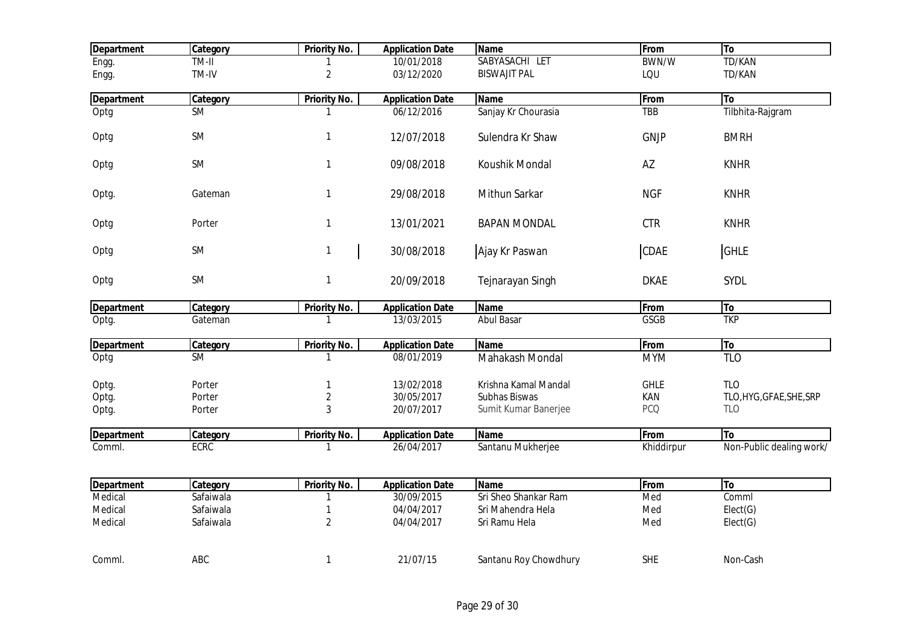| <b>Department</b> | Category    | <b>Priority No.</b> | <b>Application Date</b> | <b>Name</b>           | From         | To                       |
|-------------------|-------------|---------------------|-------------------------|-----------------------|--------------|--------------------------|
| Engg.             | TM-II       |                     | 10/01/2018              | SABYASACHI LET        | <b>BWN/W</b> | <b>TD/KAN</b>            |
| Engg.             | TM-IV       | $\sqrt{2}$          | 03/12/2020              | <b>BISWAJIT PAL</b>   | LQU          | TD/KAN                   |
| <b>Department</b> | Category    | <b>Priority No.</b> | <b>Application Date</b> | <b>Name</b>           | From         | To                       |
| Optg              | <b>SM</b>   |                     | 06/12/2016              | Sanjay Kr Chourasia   | <b>TBB</b>   | Tilbhita-Rajgram         |
|                   |             |                     |                         |                       |              |                          |
| Optg              | SM          | $\mathbf{1}$        | 12/07/2018              | Sulendra Kr Shaw      | <b>GNJP</b>  | <b>BMRH</b>              |
|                   |             |                     |                         |                       |              |                          |
| Optg              | SM          | $\mathbf{1}$        | 09/08/2018              | Koushik Mondal        | AZ           | <b>KNHR</b>              |
|                   |             |                     |                         |                       |              |                          |
| Optg.             | Gateman     | $\mathbf{1}$        | 29/08/2018              | Mithun Sarkar         | <b>NGF</b>   | <b>KNHR</b>              |
|                   |             |                     |                         |                       |              |                          |
| Optg              | Porter      | $\mathbf{1}$        | 13/01/2021              | <b>BAPAN MONDAL</b>   | <b>CTR</b>   | <b>KNHR</b>              |
|                   |             |                     |                         |                       |              |                          |
| Optg              | SM          | $\mathbf{1}$        | 30/08/2018              | Ajay Kr Paswan        | CDAE         | <b>GHLE</b>              |
|                   |             |                     |                         |                       |              |                          |
| Optg              | SM          | $\mathbf{1}$        | 20/09/2018              | Tejnarayan Singh      | <b>DKAE</b>  | SYDL                     |
| <b>Department</b> | Category    | Priority No.        | <b>Application Date</b> | <b>Name</b>           | From         | To                       |
| Optg.             | Gateman     | 1                   | 13/03/2015              | <b>Abul Basar</b>     | GSGB         | <b>TKP</b>               |
|                   |             |                     |                         |                       |              |                          |
| <b>Department</b> | Category    | Priority No.        | <b>Application Date</b> | <b>Name</b>           | From         | To                       |
| Optg              | <b>SM</b>   | 1                   | 08/01/2019              | Mahakash Mondal       | <b>MYM</b>   | <b>TLO</b>               |
| Optg.             | Porter      | 1                   | 13/02/2018              | Krishna Kamal Mandal  | <b>GHLE</b>  | <b>TLO</b>               |
| Optg.             | Porter      | $\sqrt{2}$          | 30/05/2017              | Subhas Biswas         | KAN          | TLO, HYG, GFAE, SHE, SRP |
| Optg.             | Porter      | $\mathfrak{Z}$      | 20/07/2017              | Sumit Kumar Banerjee  | <b>PCQ</b>   | <b>TLO</b>               |
|                   |             |                     |                         |                       |              |                          |
| <b>Department</b> | Category    | Priority No.        | <b>Application Date</b> | <b>Name</b>           | From         | <b>To</b>                |
| Comml.            | <b>ECRC</b> | $\mathbf{1}$        | 26/04/2017              | Santanu Mukherjee     | Khiddirpur   | Non-Public dealing work/ |
|                   |             |                     |                         |                       |              |                          |
| Department        | Category    | <b>Priority No.</b> | <b>Application Date</b> | <b>Name</b>           | From         | To                       |
| Medical           | Safaiwala   | 1                   | 30/09/2015              | Sri Sheo Shankar Ram  | Med          | Comml                    |
| Medical           | Safaiwala   | 1                   | 04/04/2017              | Sri Mahendra Hela     | Med          | Elect(G)                 |
| Medical           | Safaiwala   | $\overline{2}$      | 04/04/2017              | Sri Ramu Hela         | Med          | Elect(G)                 |
|                   |             |                     |                         |                       |              |                          |
|                   |             |                     |                         |                       |              |                          |
| Comml.            | ABC         | $\mathbf{1}$        | 21/07/15                | Santanu Roy Chowdhury | <b>SHE</b>   | Non-Cash                 |